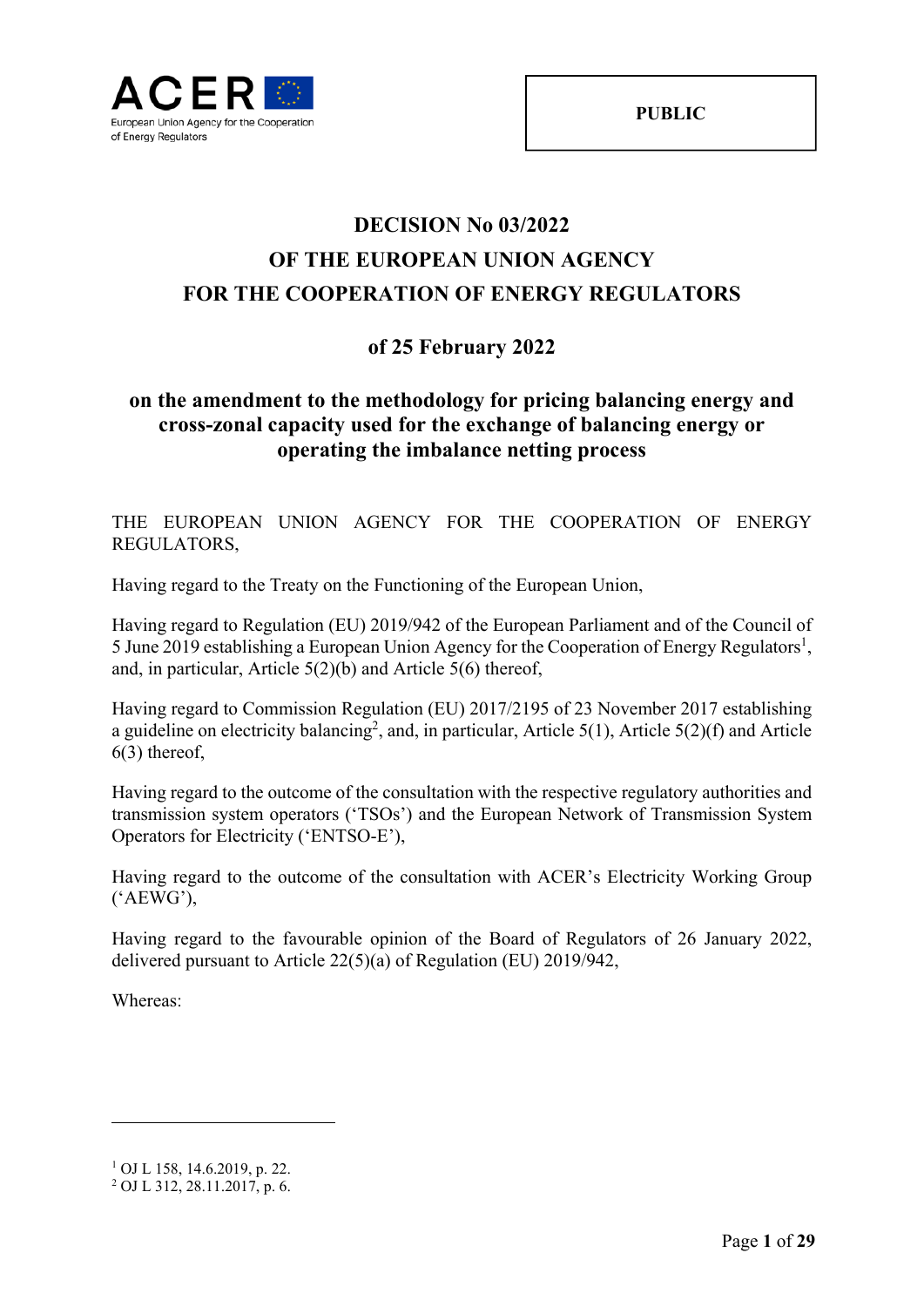

# **DECISION No 03/2022 OF THE EUROPEAN UNION AGENCY FOR THE COOPERATION OF ENERGY REGULATORS**

# **of 25 February 2022**

## **on the amendment to the methodology for pricing balancing energy and cross-zonal capacity used for the exchange of balancing energy or operating the imbalance netting process**

THE EUROPEAN UNION AGENCY FOR THE COOPERATION OF ENERGY REGULATORS,

Having regard to the Treaty on the Functioning of the European Union,

Having regard to Regulation (EU) 2019/942 of the European Parliament and of the Council of 5 June 2019 establishing a European Union Agency for the Cooperation of Energy Regulators<sup>1</sup>, and, in particular, Article 5(2)(b) and Article 5(6) thereof,

Having regard to Commission Regulation (EU) 2017/2195 of 23 November 2017 establishing a guideline on electricity balancing<sup>2</sup>, and, in particular, Article 5(1), Article 5(2)(f) and Article 6(3) thereof,

Having regard to the outcome of the consultation with the respective regulatory authorities and transmission system operators ('TSOs') and the European Network of Transmission System Operators for Electricity ('ENTSO-E'),

Having regard to the outcome of the consultation with ACER's Electricity Working Group ('AEWG'),

Having regard to the favourable opinion of the Board of Regulators of 26 January 2022, delivered pursuant to Article 22(5)(a) of Regulation (EU) 2019/942,

Whereas:

<sup>1</sup> OJ L 158, 14.6.2019, p. 22.

<sup>2</sup> OJ L 312, 28.11.2017, p. 6.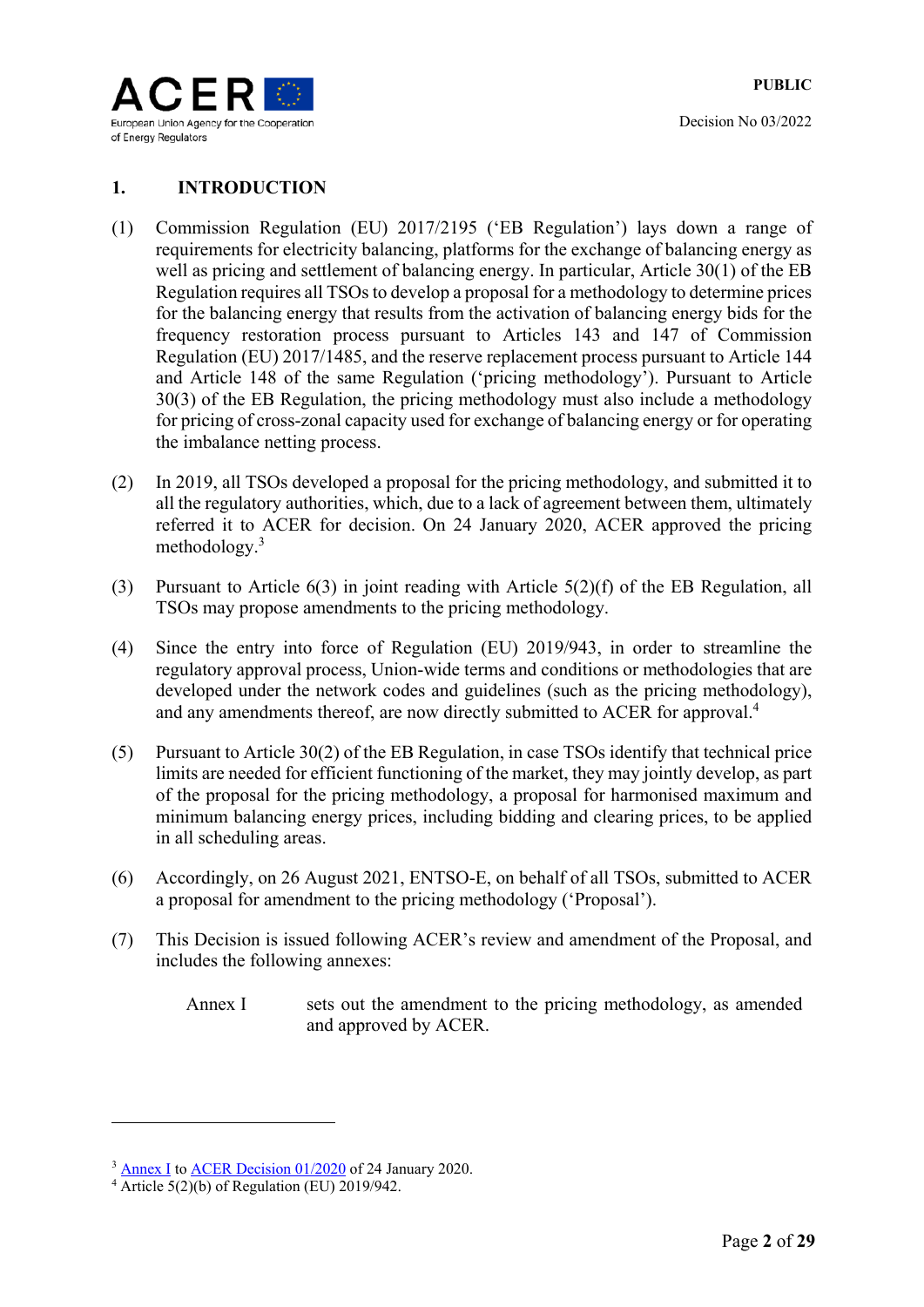

### **1. INTRODUCTION**

- (1) Commission Regulation (EU) 2017/2195 ('EB Regulation') lays down a range of requirements for electricity balancing, platforms for the exchange of balancing energy as well as pricing and settlement of balancing energy. In particular, Article 30(1) of the EB Regulation requires all TSOs to develop a proposal for a methodology to determine prices for the balancing energy that results from the activation of balancing energy bids for the frequency restoration process pursuant to Articles 143 and 147 of Commission Regulation (EU) 2017/1485, and the reserve replacement process pursuant to Article 144 and Article 148 of the same Regulation ('pricing methodology'). Pursuant to Article 30(3) of the EB Regulation, the pricing methodology must also include a methodology for pricing of cross-zonal capacity used for exchange of balancing energy or for operating the imbalance netting process.
- (2) In 2019, all TSOs developed a proposal for the pricing methodology, and submitted it to all the regulatory authorities, which, due to a lack of agreement between them, ultimately referred it to ACER for decision. On 24 January 2020, ACER approved the pricing methodology.<sup>3</sup>
- (3) Pursuant to Article 6(3) in joint reading with Article 5(2)(f) of the EB Regulation, all TSOs may propose amendments to the pricing methodology.
- (4) Since the entry into force of Regulation (EU) 2019/943, in order to streamline the regulatory approval process, Union-wide terms and conditions or methodologies that are developed under the network codes and guidelines (such as the pricing methodology), and any amendments thereof, are now directly submitted to ACER for approval.<sup>4</sup>
- (5) Pursuant to Article 30(2) of the EB Regulation, in case TSOs identify that technical price limits are needed for efficient functioning of the market, they may jointly develop, as part of the proposal for the pricing methodology, a proposal for harmonised maximum and minimum balancing energy prices, including bidding and clearing prices, to be applied in all scheduling areas.
- (6) Accordingly, on 26 August 2021, ENTSO-E, on behalf of all TSOs, submitted to ACER a proposal for amendment to the pricing methodology ('Proposal').
- (7) This Decision is issued following ACER's review and amendment of the Proposal, and includes the following annexes:
	- Annex I sets out the amendment to the pricing methodology, as amended and approved by ACER.

<sup>&</sup>lt;sup>3</sup> Annex I to ACER Decision 01/2020 of 24 January 2020.

 $4 \overline{\text{Article } 5(2)(b)}$  of Regulation (EU) 2019/942.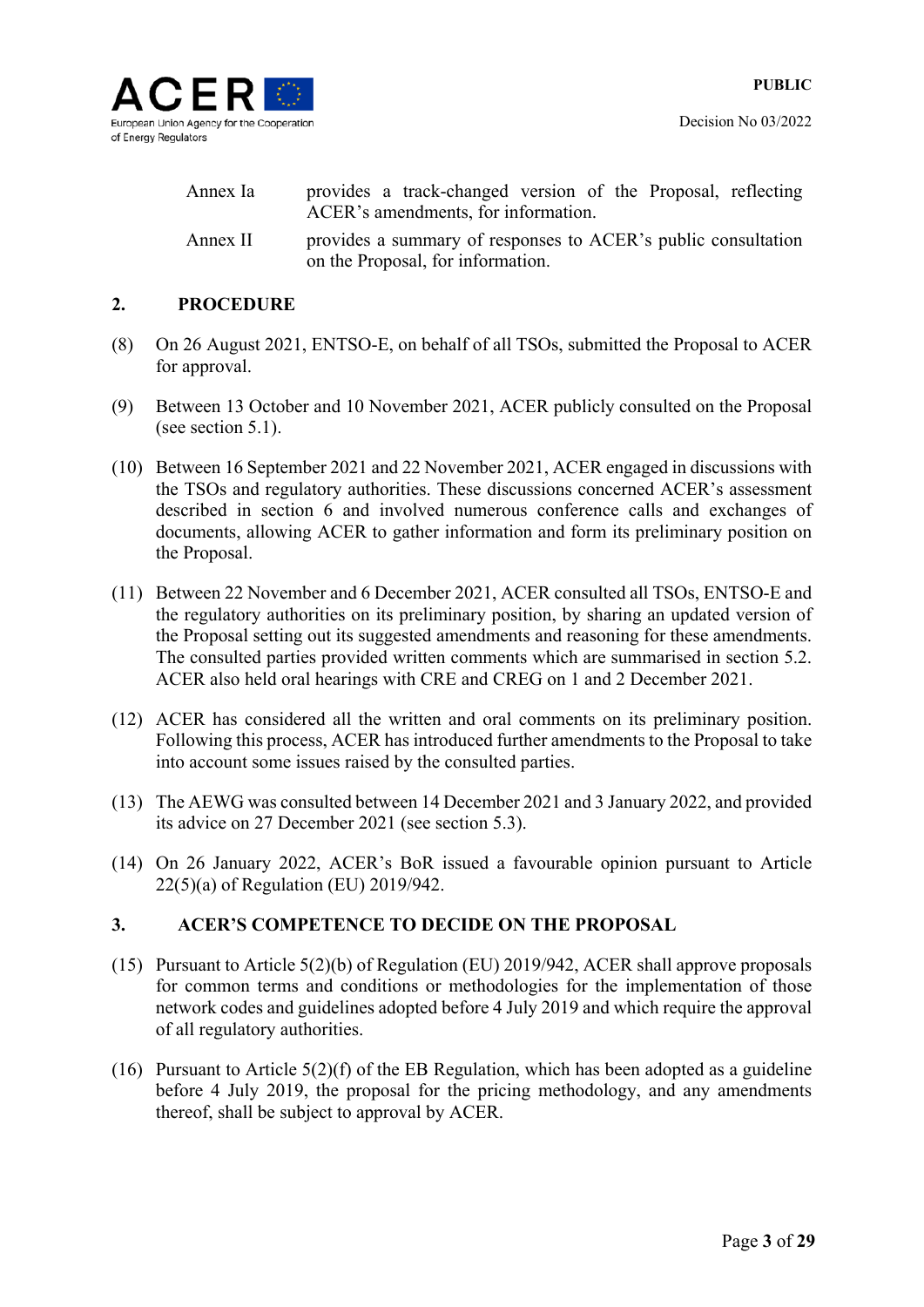

| Annex Ia | provides a track-changed version of the Proposal, reflecting<br>ACER's amendments, for information. |  |  |
|----------|-----------------------------------------------------------------------------------------------------|--|--|
| Annex II | provides a summary of responses to ACER's public consultation<br>on the Proposal, for information.  |  |  |

### **2. PROCEDURE**

- (8) On 26 August 2021, ENTSO-E, on behalf of all TSOs, submitted the Proposal to ACER for approval.
- (9) Between 13 October and 10 November 2021, ACER publicly consulted on the Proposal (see section 5.1).
- (10) Between 16 September 2021 and 22 November 2021, ACER engaged in discussions with the TSOs and regulatory authorities. These discussions concerned ACER's assessment described in section 6 and involved numerous conference calls and exchanges of documents, allowing ACER to gather information and form its preliminary position on the Proposal.
- (11) Between 22 November and 6 December 2021, ACER consulted all TSOs, ENTSO-E and the regulatory authorities on its preliminary position, by sharing an updated version of the Proposal setting out its suggested amendments and reasoning for these amendments. The consulted parties provided written comments which are summarised in section 5.2. ACER also held oral hearings with CRE and CREG on 1 and 2 December 2021.
- (12) ACER has considered all the written and oral comments on its preliminary position. Following this process, ACER has introduced further amendments to the Proposal to take into account some issues raised by the consulted parties.
- (13) The AEWG was consulted between 14 December 2021 and 3 January 2022, and provided its advice on 27 December 2021 (see section 5.3).
- (14) On 26 January 2022, ACER's BoR issued a favourable opinion pursuant to Article 22(5)(a) of Regulation (EU) 2019/942.

### **3. ACER'S COMPETENCE TO DECIDE ON THE PROPOSAL**

- (15) Pursuant to Article 5(2)(b) of Regulation (EU) 2019/942, ACER shall approve proposals for common terms and conditions or methodologies for the implementation of those network codes and guidelines adopted before 4 July 2019 and which require the approval of all regulatory authorities.
- (16) Pursuant to Article 5(2)(f) of the EB Regulation, which has been adopted as a guideline before 4 July 2019, the proposal for the pricing methodology, and any amendments thereof, shall be subject to approval by ACER.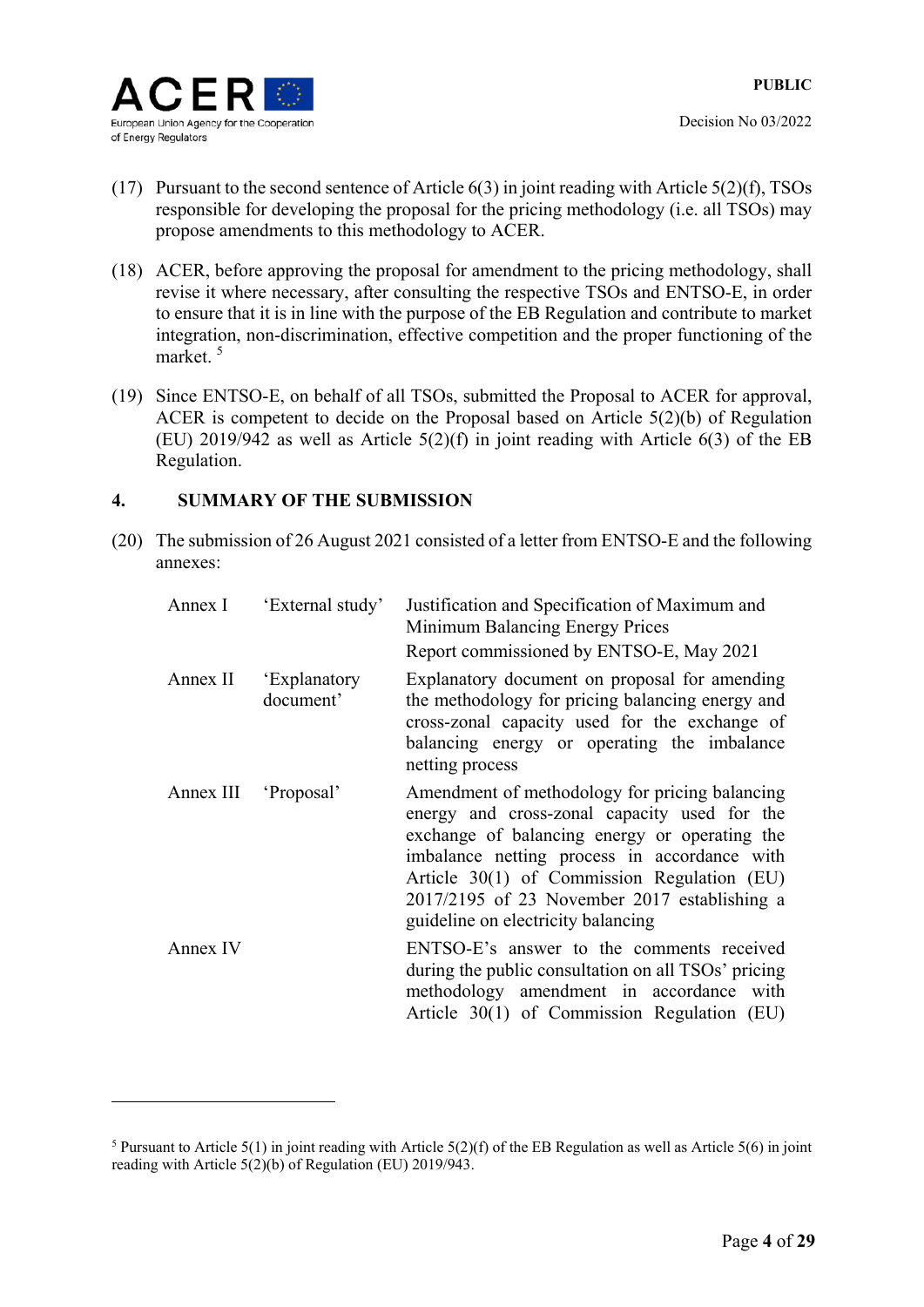

1

- (17) Pursuant to the second sentence of Article 6(3) in joint reading with Article 5(2)(f), TSOs responsible for developing the proposal for the pricing methodology (i.e. all TSOs) may propose amendments to this methodology to ACER.
- (18) ACER, before approving the proposal for amendment to the pricing methodology, shall revise it where necessary, after consulting the respective TSOs and ENTSO-E, in order to ensure that it is in line with the purpose of the EB Regulation and contribute to market integration, non-discrimination, effective competition and the proper functioning of the market.<sup>5</sup>
- (19) Since ENTSO-E, on behalf of all TSOs, submitted the Proposal to ACER for approval, ACER is competent to decide on the Proposal based on Article 5(2)(b) of Regulation (EU) 2019/942 as well as Article  $5(2)(f)$  in joint reading with Article 6(3) of the EB Regulation.

### **4. SUMMARY OF THE SUBMISSION**

(20) The submission of 26 August 2021 consisted of a letter from ENTSO-E and the following annexes:

| Annex I              | 'External study'          | Justification and Specification of Maximum and<br>Minimum Balancing Energy Prices<br>Report commissioned by ENTSO-E, May 2021                                                                                                                                                                                                        |
|----------------------|---------------------------|--------------------------------------------------------------------------------------------------------------------------------------------------------------------------------------------------------------------------------------------------------------------------------------------------------------------------------------|
| Annex II             | 'Explanatory<br>document' | Explanatory document on proposal for amending<br>the methodology for pricing balancing energy and<br>cross-zonal capacity used for the exchange of<br>balancing energy or operating the imbalance<br>netting process                                                                                                                 |
| Annex III 'Proposal' |                           | Amendment of methodology for pricing balancing<br>energy and cross-zonal capacity used for the<br>exchange of balancing energy or operating the<br>imbalance netting process in accordance with<br>Article 30(1) of Commission Regulation (EU)<br>2017/2195 of 23 November 2017 establishing a<br>guideline on electricity balancing |
| Annex IV             |                           | ENTSO-E's answer to the comments received<br>during the public consultation on all TSOs' pricing<br>methodology amendment in accordance with<br>Article 30(1) of Commission Regulation (EU)                                                                                                                                          |

<sup>&</sup>lt;sup>5</sup> Pursuant to Article 5(1) in joint reading with Article 5(2)(f) of the EB Regulation as well as Article 5(6) in joint reading with Article  $5(2)(b)$  of Regulation (EU) 2019/943.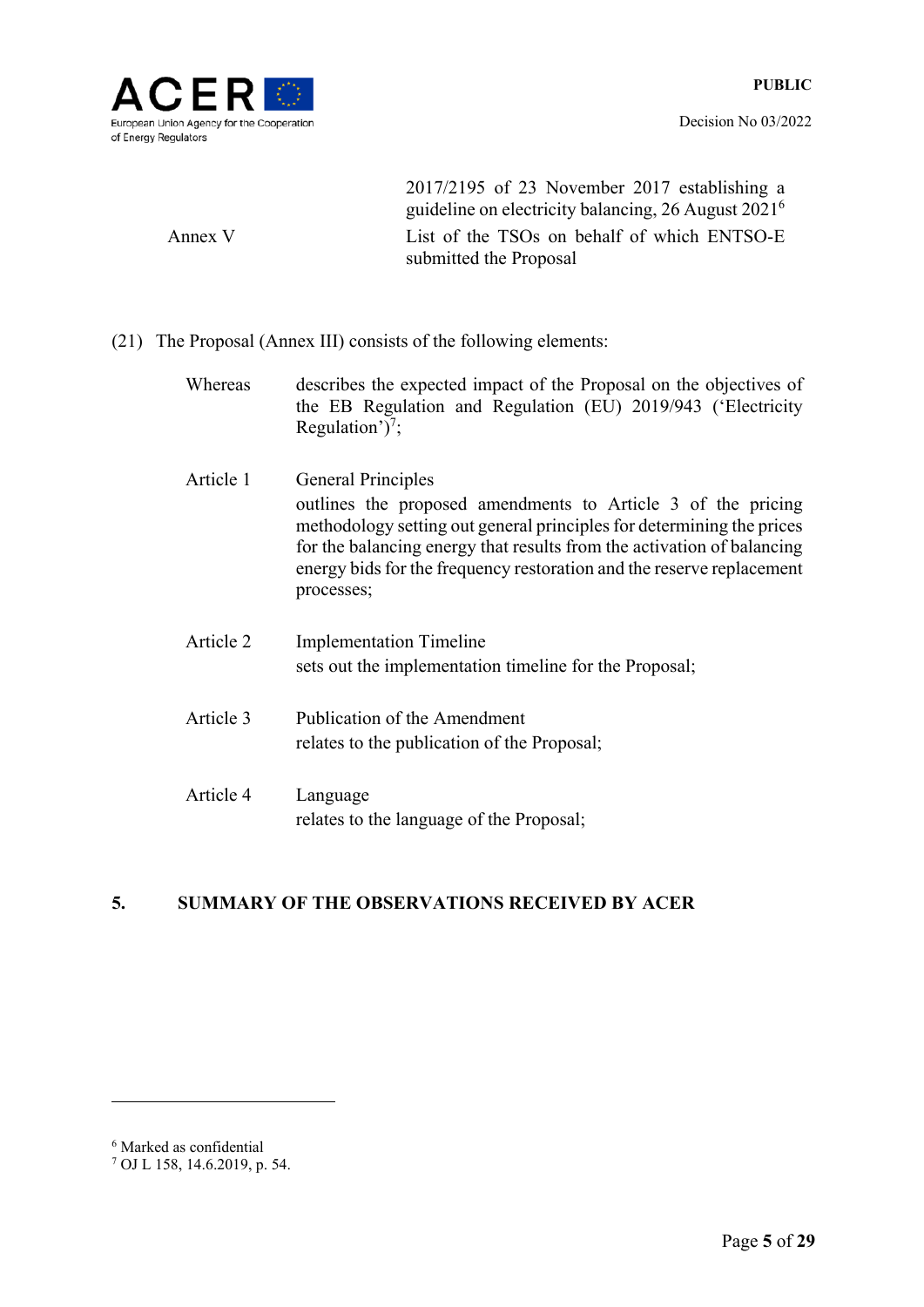

2017/2195 of 23 November 2017 establishing a guideline on electricity balancing, 26 August 20216 Annex V List of the TSOs on behalf of which ENTSO-E submitted the Proposal

(21) The Proposal (Annex III) consists of the following elements:

Whereas describes the expected impact of the Proposal on the objectives of the EB Regulation and Regulation (EU) 2019/943 ('Electricity Regulation')<sup>7</sup>;

- Article 1 General Principles outlines the proposed amendments to Article 3 of the pricing methodology setting out general principles for determining the prices for the balancing energy that results from the activation of balancing energy bids for the frequency restoration and the reserve replacement processes;
- Article 2 Implementation Timeline sets out the implementation timeline for the Proposal;
- Article 3 Publication of the Amendment relates to the publication of the Proposal;
- Article 4 Language relates to the language of the Proposal;

### **5. SUMMARY OF THE OBSERVATIONS RECEIVED BY ACER**

<sup>6</sup> Marked as confidential

<sup>7</sup> OJ L 158, 14.6.2019, p. 54.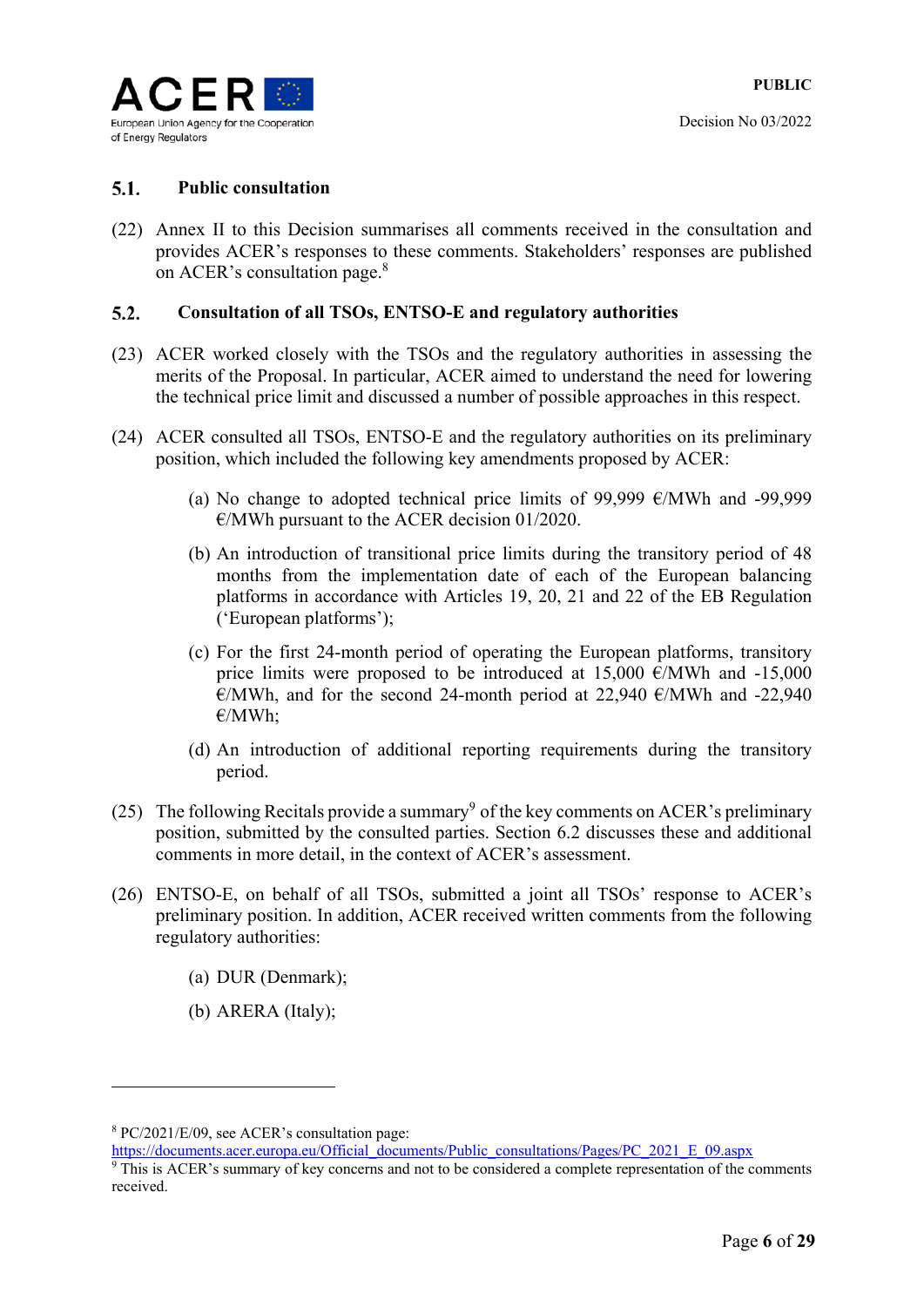

#### $5.1.$ **Public consultation**

(22) Annex II to this Decision summarises all comments received in the consultation and provides ACER's responses to these comments. Stakeholders' responses are published on ACER's consultation page.<sup>8</sup>

#### $5.2.$ **Consultation of all TSOs, ENTSO-E and regulatory authorities**

- (23) ACER worked closely with the TSOs and the regulatory authorities in assessing the merits of the Proposal. In particular, ACER aimed to understand the need for lowering the technical price limit and discussed a number of possible approaches in this respect.
- (24) ACER consulted all TSOs, ENTSO-E and the regulatory authorities on its preliminary position, which included the following key amendments proposed by ACER:
	- (a) No change to adopted technical price limits of 99,999 €/MWh and -99,999  $\epsilon$ /MWh pursuant to the ACER decision 01/2020.
	- (b) An introduction of transitional price limits during the transitory period of 48 months from the implementation date of each of the European balancing platforms in accordance with Articles 19, 20, 21 and 22 of the EB Regulation ('European platforms');
	- (c) For the first 24-month period of operating the European platforms, transitory price limits were proposed to be introduced at  $15,000 \text{ }\epsilon/\text{MWh}$  and  $-15,000$  $\epsilon$ /MWh, and for the second 24-month period at 22,940  $\epsilon$ /MWh and -22,940 €/MWh;
	- (d) An introduction of additional reporting requirements during the transitory period.
- (25) The following Recitals provide a summary<sup>9</sup> of the key comments on ACER's preliminary position, submitted by the consulted parties. Section 6.2 discusses these and additional comments in more detail, in the context of ACER's assessment.
- (26) ENTSO-E, on behalf of all TSOs, submitted a joint all TSOs' response to ACER's preliminary position. In addition, ACER received written comments from the following regulatory authorities:
	- (a) DUR (Denmark);
	- (b) ARERA (Italy);

-

https://documents.acer.europa.eu/Official\_documents/Public\_consultations/Pages/PC\_2021\_E\_09.aspx

<sup>8</sup> PC/2021/E/09, see ACER's consultation page:

<sup>&</sup>lt;sup>9</sup> This is ACER's summary of key concerns and not to be considered a complete representation of the comments received.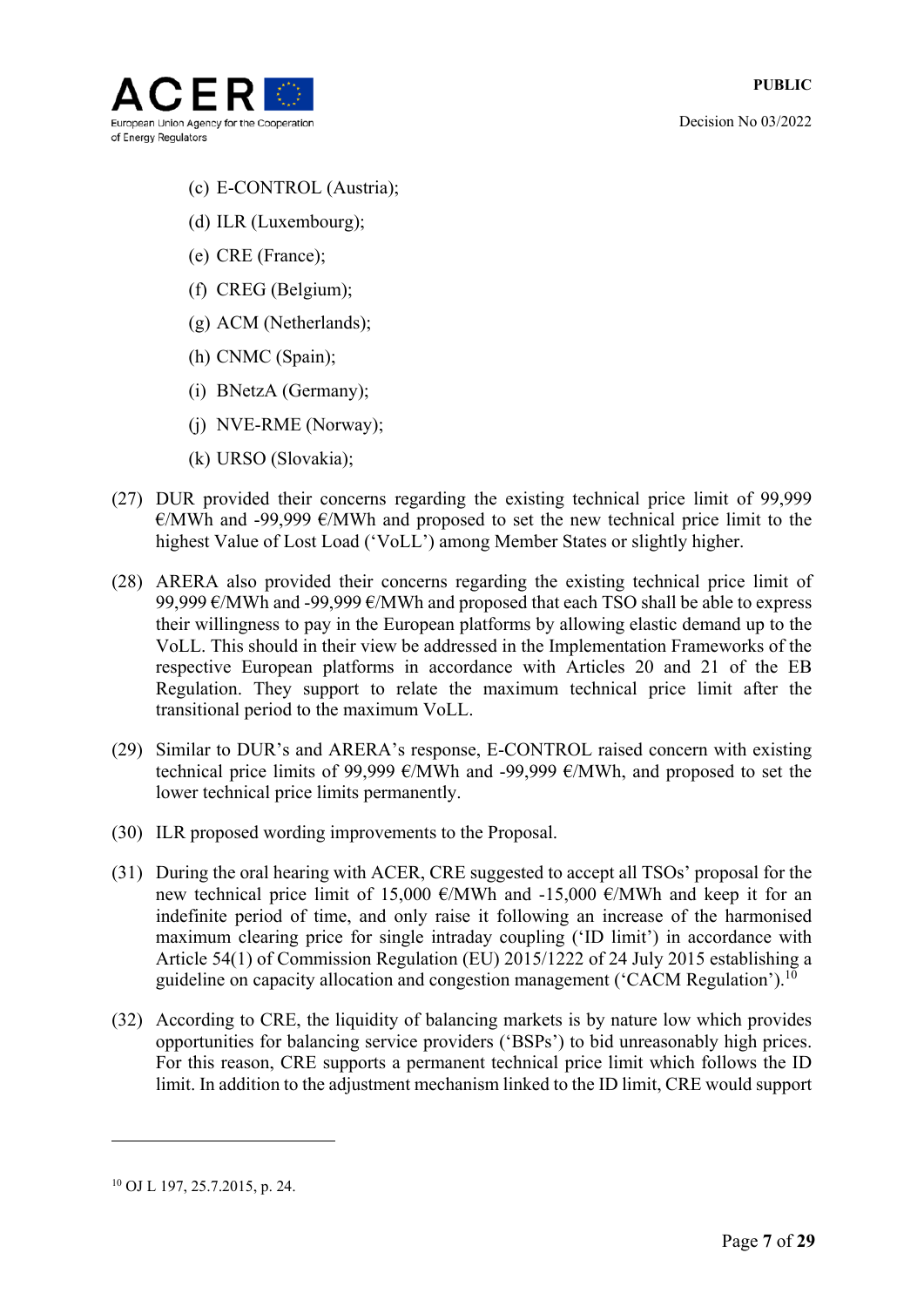

- (c) E-CONTROL (Austria);
- (d) ILR (Luxembourg);
- (e) CRE (France);
- (f) CREG (Belgium);
- (g) ACM (Netherlands);
- (h) CNMC (Spain);
- (i) BNetzA (Germany);
- (j) NVE-RME (Norway);
- (k) URSO (Slovakia);
- (27) DUR provided their concerns regarding the existing technical price limit of 99,999  $\epsilon$ /MWh and -99,999  $\epsilon$ /MWh and proposed to set the new technical price limit to the highest Value of Lost Load ('VoLL') among Member States or slightly higher.
- (28) ARERA also provided their concerns regarding the existing technical price limit of 99,999  $\epsilon$ /MWh and -99,999  $\epsilon$ /MWh and proposed that each TSO shall be able to express their willingness to pay in the European platforms by allowing elastic demand up to the VoLL. This should in their view be addressed in the Implementation Frameworks of the respective European platforms in accordance with Articles 20 and 21 of the EB Regulation. They support to relate the maximum technical price limit after the transitional period to the maximum VoLL.
- (29) Similar to DUR's and ARERA's response, E-CONTROL raised concern with existing technical price limits of 99,999 €/MWh and -99,999 €/MWh, and proposed to set the lower technical price limits permanently.
- (30) ILR proposed wording improvements to the Proposal.
- (31) During the oral hearing with ACER, CRE suggested to accept all TSOs' proposal for the new technical price limit of 15,000  $\epsilon$ /MWh and -15,000  $\epsilon$ /MWh and keep it for an indefinite period of time, and only raise it following an increase of the harmonised maximum clearing price for single intraday coupling ('ID limit') in accordance with Article 54(1) of Commission Regulation (EU) 2015/1222 of 24 July 2015 establishing a guideline on capacity allocation and congestion management ('CACM Regulation').<sup>10</sup>
- (32) According to CRE, the liquidity of balancing markets is by nature low which provides opportunities for balancing service providers ('BSPs') to bid unreasonably high prices. For this reason, CRE supports a permanent technical price limit which follows the ID limit. In addition to the adjustment mechanism linked to the ID limit, CRE would support

<u>.</u>

<sup>10</sup> OJ L 197, 25.7.2015, p. 24.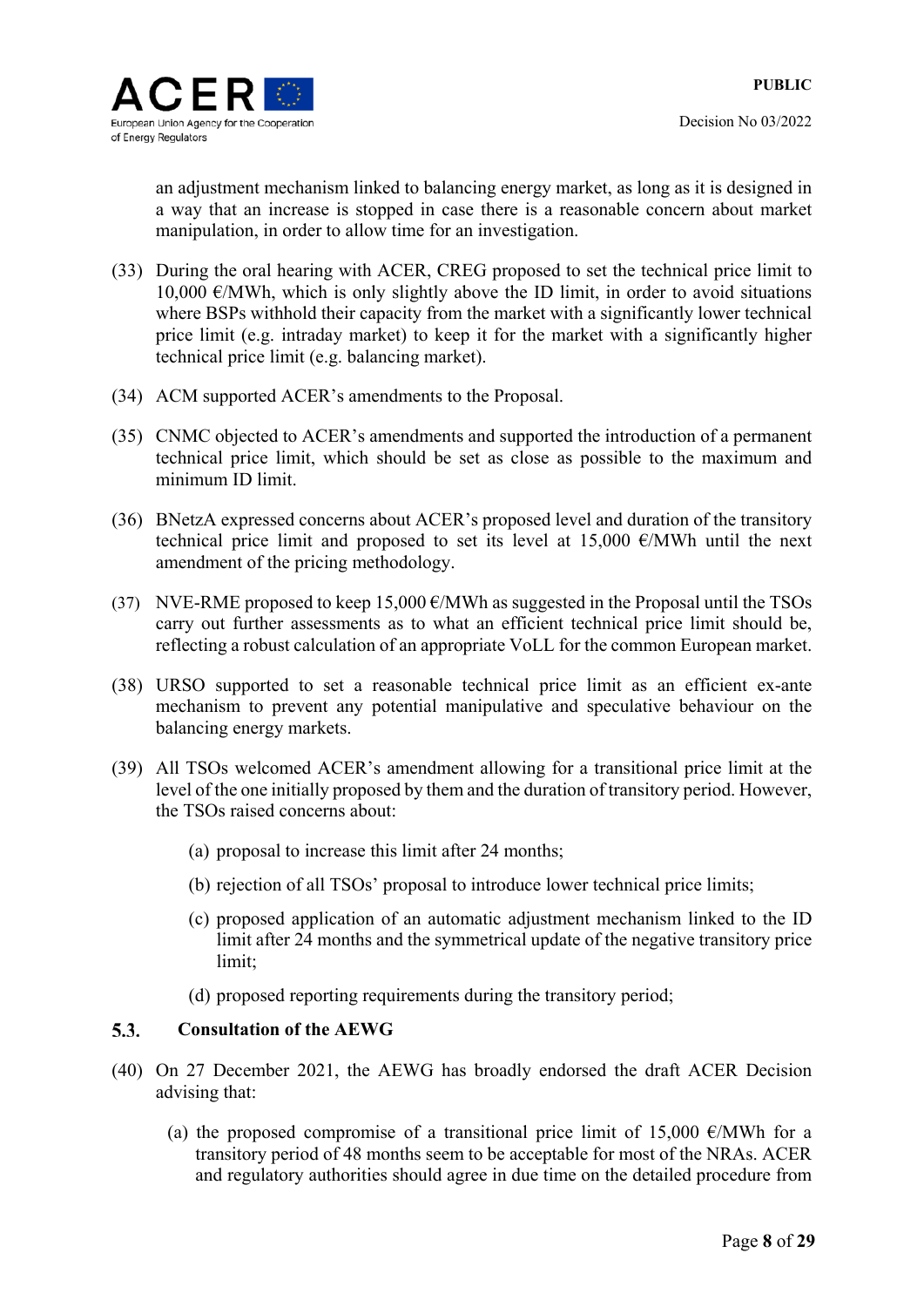

an adjustment mechanism linked to balancing energy market, as long as it is designed in a way that an increase is stopped in case there is a reasonable concern about market manipulation, in order to allow time for an investigation.

- (33) During the oral hearing with ACER, CREG proposed to set the technical price limit to 10,000  $\epsilon$ /MWh, which is only slightly above the ID limit, in order to avoid situations where BSPs withhold their capacity from the market with a significantly lower technical price limit (e.g. intraday market) to keep it for the market with a significantly higher technical price limit (e.g. balancing market).
- (34) ACM supported ACER's amendments to the Proposal.
- (35) CNMC objected to ACER's amendments and supported the introduction of a permanent technical price limit, which should be set as close as possible to the maximum and minimum ID limit.
- (36) BNetzA expressed concerns about ACER's proposed level and duration of the transitory technical price limit and proposed to set its level at 15,000  $\epsilon$ /MWh until the next amendment of the pricing methodology.
- (37) NVE-RME proposed to keep 15,000  $\epsilon$ /MWh as suggested in the Proposal until the TSOs carry out further assessments as to what an efficient technical price limit should be, reflecting a robust calculation of an appropriate VoLL for the common European market.
- (38) URSO supported to set a reasonable technical price limit as an efficient ex-ante mechanism to prevent any potential manipulative and speculative behaviour on the balancing energy markets.
- (39) All TSOs welcomed ACER's amendment allowing for a transitional price limit at the level of the one initially proposed by them and the duration of transitory period. However, the TSOs raised concerns about:
	- (a) proposal to increase this limit after 24 months;
	- (b) rejection of all TSOs' proposal to introduce lower technical price limits;
	- (c) proposed application of an automatic adjustment mechanism linked to the ID limit after 24 months and the symmetrical update of the negative transitory price limit;
	- (d) proposed reporting requirements during the transitory period;

#### 5.3. **Consultation of the AEWG**

- (40) On 27 December 2021, the AEWG has broadly endorsed the draft ACER Decision advising that:
	- (a) the proposed compromise of a transitional price limit of 15,000  $\epsilon$ /MWh for a transitory period of 48 months seem to be acceptable for most of the NRAs. ACER and regulatory authorities should agree in due time on the detailed procedure from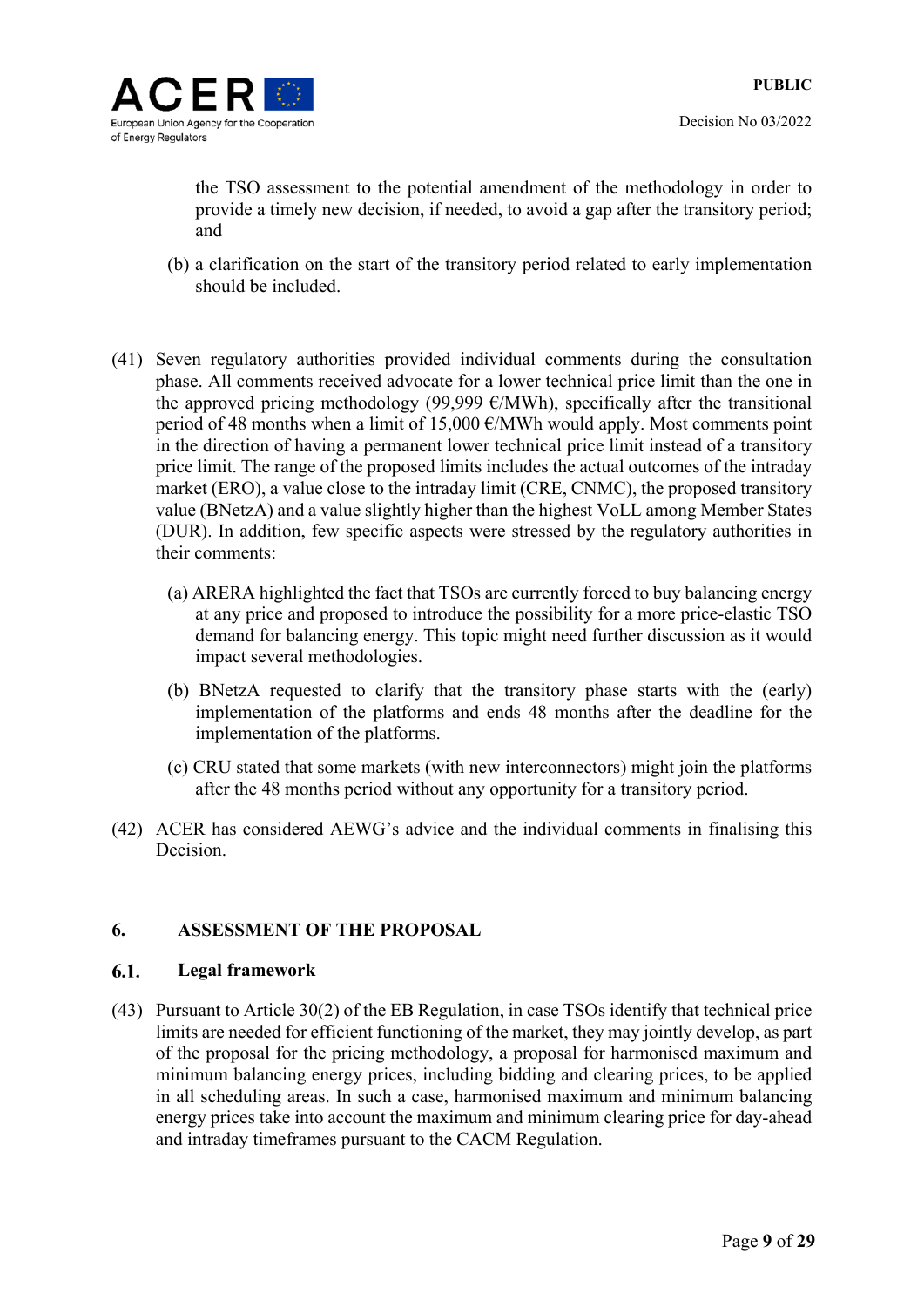

the TSO assessment to the potential amendment of the methodology in order to provide a timely new decision, if needed, to avoid a gap after the transitory period; and

- (b) a clarification on the start of the transitory period related to early implementation should be included.
- (41) Seven regulatory authorities provided individual comments during the consultation phase. All comments received advocate for a lower technical price limit than the one in the approved pricing methodology (99,999  $\epsilon$ /MWh), specifically after the transitional period of 48 months when a limit of 15,000  $\epsilon$ /MWh would apply. Most comments point in the direction of having a permanent lower technical price limit instead of a transitory price limit. The range of the proposed limits includes the actual outcomes of the intraday market (ERO), a value close to the intraday limit (CRE, CNMC), the proposed transitory value (BNetzA) and a value slightly higher than the highest VoLL among Member States (DUR). In addition, few specific aspects were stressed by the regulatory authorities in their comments:
	- (a) ARERA highlighted the fact that TSOs are currently forced to buy balancing energy at any price and proposed to introduce the possibility for a more price-elastic TSO demand for balancing energy. This topic might need further discussion as it would impact several methodologies.
	- (b) BNetzA requested to clarify that the transitory phase starts with the (early) implementation of the platforms and ends 48 months after the deadline for the implementation of the platforms.
	- (c) CRU stated that some markets (with new interconnectors) might join the platforms after the 48 months period without any opportunity for a transitory period.
- (42) ACER has considered AEWG's advice and the individual comments in finalising this Decision.

### **6. ASSESSMENT OF THE PROPOSAL**

#### $6.1.$ **Legal framework**

(43) Pursuant to Article 30(2) of the EB Regulation, in case TSOs identify that technical price limits are needed for efficient functioning of the market, they may jointly develop, as part of the proposal for the pricing methodology, a proposal for harmonised maximum and minimum balancing energy prices, including bidding and clearing prices, to be applied in all scheduling areas. In such a case, harmonised maximum and minimum balancing energy prices take into account the maximum and minimum clearing price for day-ahead and intraday timeframes pursuant to the CACM Regulation.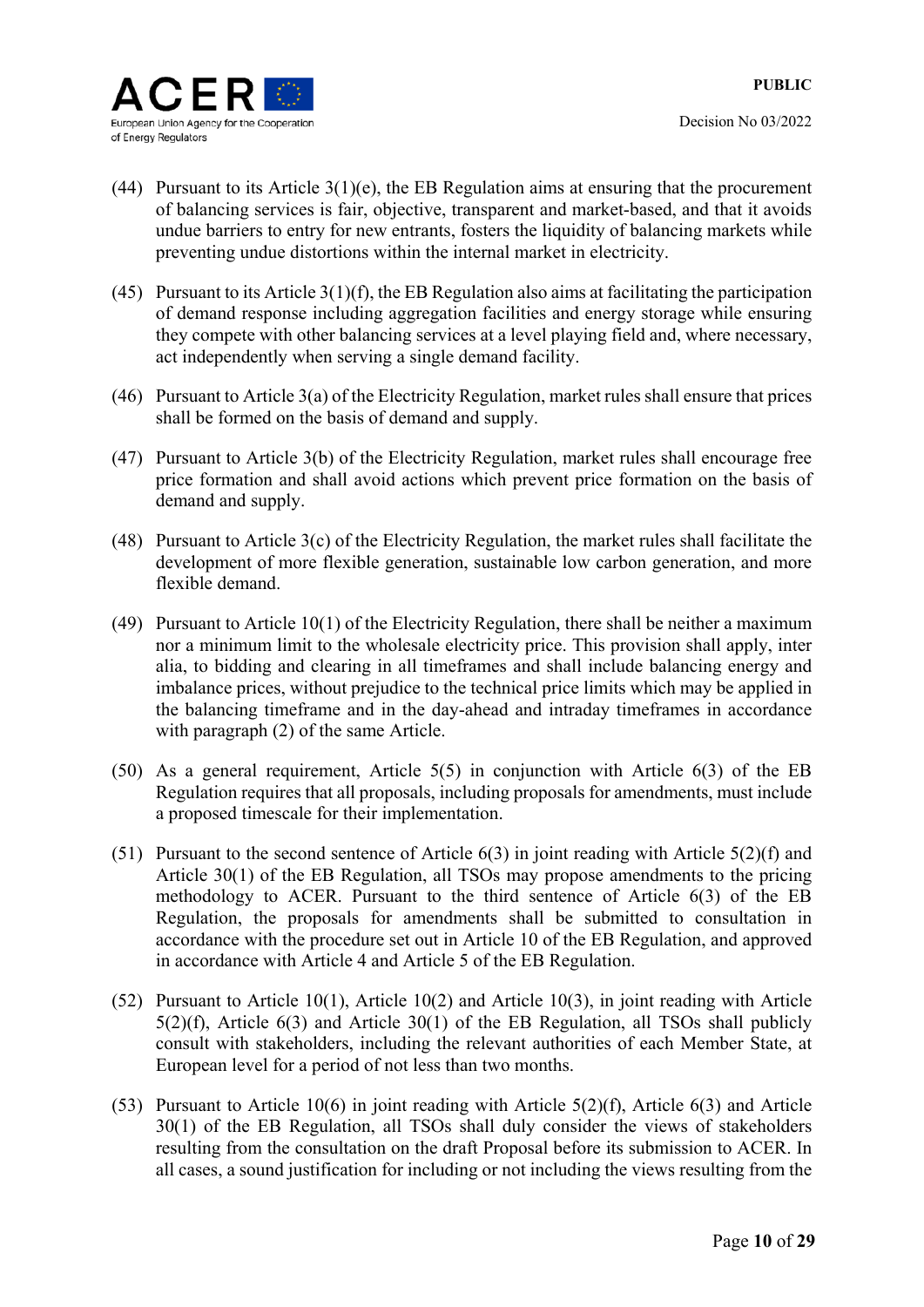

- Decision No 03/2022
- (44) Pursuant to its Article  $3(1)(e)$ , the EB Regulation aims at ensuring that the procurement of balancing services is fair, objective, transparent and market-based, and that it avoids undue barriers to entry for new entrants, fosters the liquidity of balancing markets while preventing undue distortions within the internal market in electricity.
- (45) Pursuant to its Article  $3(1)(f)$ , the EB Regulation also aims at facilitating the participation of demand response including aggregation facilities and energy storage while ensuring they compete with other balancing services at a level playing field and, where necessary, act independently when serving a single demand facility.
- (46) Pursuant to Article 3(a) of the Electricity Regulation, market rules shall ensure that prices shall be formed on the basis of demand and supply.
- (47) Pursuant to Article 3(b) of the Electricity Regulation, market rules shall encourage free price formation and shall avoid actions which prevent price formation on the basis of demand and supply.
- (48) Pursuant to Article 3(c) of the Electricity Regulation, the market rules shall facilitate the development of more flexible generation, sustainable low carbon generation, and more flexible demand.
- (49) Pursuant to Article 10(1) of the Electricity Regulation, there shall be neither a maximum nor a minimum limit to the wholesale electricity price. This provision shall apply, inter alia, to bidding and clearing in all timeframes and shall include balancing energy and imbalance prices, without prejudice to the technical price limits which may be applied in the balancing timeframe and in the day-ahead and intraday timeframes in accordance with paragraph (2) of the same Article.
- (50) As a general requirement, Article 5(5) in conjunction with Article 6(3) of the EB Regulation requires that all proposals, including proposals for amendments, must include a proposed timescale for their implementation.
- (51) Pursuant to the second sentence of Article 6(3) in joint reading with Article 5(2)(f) and Article 30(1) of the EB Regulation, all TSOs may propose amendments to the pricing methodology to ACER. Pursuant to the third sentence of Article 6(3) of the EB Regulation, the proposals for amendments shall be submitted to consultation in accordance with the procedure set out in Article 10 of the EB Regulation, and approved in accordance with Article 4 and Article 5 of the EB Regulation.
- (52) Pursuant to Article 10(1), Article 10(2) and Article 10(3), in joint reading with Article 5(2)(f), Article 6(3) and Article 30(1) of the EB Regulation, all TSOs shall publicly consult with stakeholders, including the relevant authorities of each Member State, at European level for a period of not less than two months.
- (53) Pursuant to Article 10(6) in joint reading with Article 5(2)(f), Article 6(3) and Article 30(1) of the EB Regulation, all TSOs shall duly consider the views of stakeholders resulting from the consultation on the draft Proposal before its submission to ACER. In all cases, a sound justification for including or not including the views resulting from the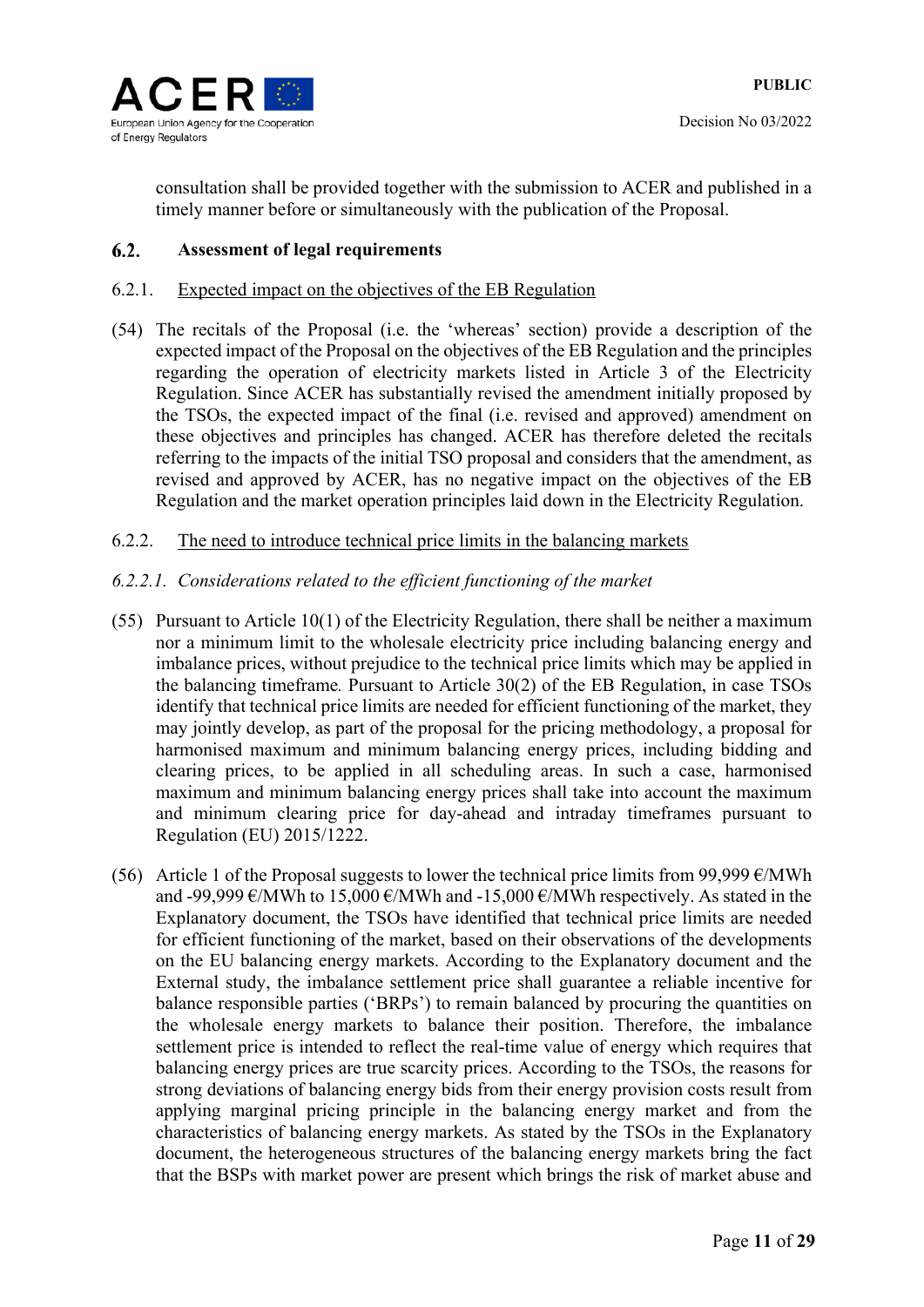

consultation shall be provided together with the submission to ACER and published in a timely manner before or simultaneously with the publication of the Proposal.

#### $6.2.$ **Assessment of legal requirements**

### 6.2.1. Expected impact on the objectives of the EB Regulation

(54) The recitals of the Proposal (i.e. the 'whereas' section) provide a description of the expected impact of the Proposal on the objectives of the EB Regulation and the principles regarding the operation of electricity markets listed in Article 3 of the Electricity Regulation. Since ACER has substantially revised the amendment initially proposed by the TSOs, the expected impact of the final (i.e. revised and approved) amendment on these objectives and principles has changed. ACER has therefore deleted the recitals referring to the impacts of the initial TSO proposal and considers that the amendment, as revised and approved by ACER, has no negative impact on the objectives of the EB Regulation and the market operation principles laid down in the Electricity Regulation.

### 6.2.2. The need to introduce technical price limits in the balancing markets

### *6.2.2.1. Considerations related to the efficient functioning of the market*

- (55) Pursuant to Article 10(1) of the Electricity Regulation, there shall be neither a maximum nor a minimum limit to the wholesale electricity price including balancing energy and imbalance prices, without prejudice to the technical price limits which may be applied in the balancing timeframe*.* Pursuant to Article 30(2) of the EB Regulation, in case TSOs identify that technical price limits are needed for efficient functioning of the market, they may jointly develop, as part of the proposal for the pricing methodology, a proposal for harmonised maximum and minimum balancing energy prices, including bidding and clearing prices, to be applied in all scheduling areas. In such a case, harmonised maximum and minimum balancing energy prices shall take into account the maximum and minimum clearing price for day-ahead and intraday timeframes pursuant to Regulation (EU) 2015/1222.
- (56) Article 1 of the Proposal suggests to lower the technical price limits from 99,999  $\epsilon$ /MWh and -99,999  $\epsilon$ /MWh to 15,000  $\epsilon$ /MWh and -15,000  $\epsilon$ /MWh respectively. As stated in the Explanatory document, the TSOs have identified that technical price limits are needed for efficient functioning of the market, based on their observations of the developments on the EU balancing energy markets. According to the Explanatory document and the External study, the imbalance settlement price shall guarantee a reliable incentive for balance responsible parties ('BRPs') to remain balanced by procuring the quantities on the wholesale energy markets to balance their position. Therefore, the imbalance settlement price is intended to reflect the real-time value of energy which requires that balancing energy prices are true scarcity prices. According to the TSOs, the reasons for strong deviations of balancing energy bids from their energy provision costs result from applying marginal pricing principle in the balancing energy market and from the characteristics of balancing energy markets. As stated by the TSOs in the Explanatory document, the heterogeneous structures of the balancing energy markets bring the fact that the BSPs with market power are present which brings the risk of market abuse and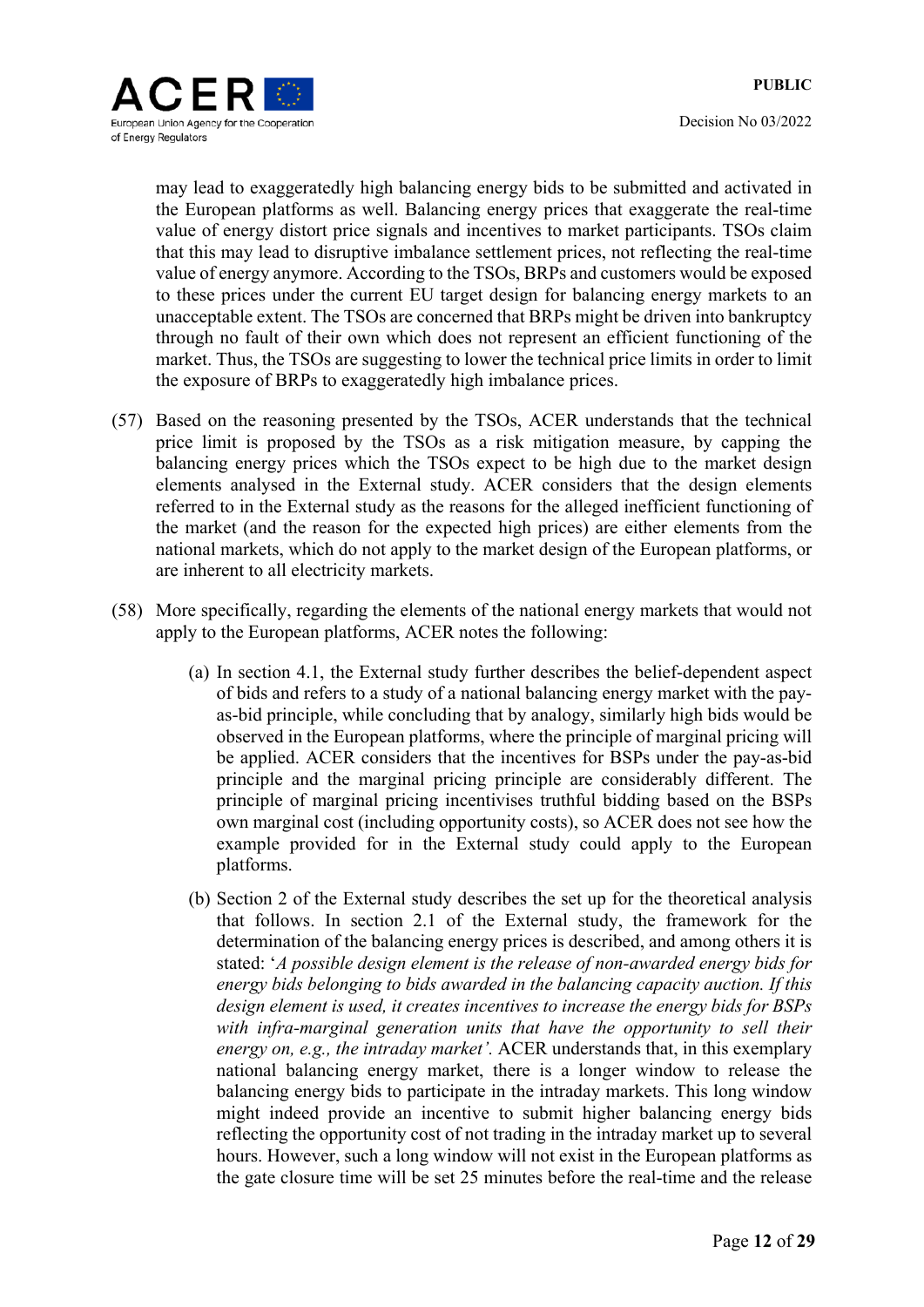

may lead to exaggeratedly high balancing energy bids to be submitted and activated in the European platforms as well. Balancing energy prices that exaggerate the real-time value of energy distort price signals and incentives to market participants. TSOs claim that this may lead to disruptive imbalance settlement prices, not reflecting the real-time value of energy anymore. According to the TSOs, BRPs and customers would be exposed to these prices under the current EU target design for balancing energy markets to an unacceptable extent. The TSOs are concerned that BRPs might be driven into bankruptcy through no fault of their own which does not represent an efficient functioning of the market. Thus, the TSOs are suggesting to lower the technical price limits in order to limit the exposure of BRPs to exaggeratedly high imbalance prices.

- (57) Based on the reasoning presented by the TSOs, ACER understands that the technical price limit is proposed by the TSOs as a risk mitigation measure, by capping the balancing energy prices which the TSOs expect to be high due to the market design elements analysed in the External study. ACER considers that the design elements referred to in the External study as the reasons for the alleged inefficient functioning of the market (and the reason for the expected high prices) are either elements from the national markets, which do not apply to the market design of the European platforms, or are inherent to all electricity markets.
- (58) More specifically, regarding the elements of the national energy markets that would not apply to the European platforms, ACER notes the following:
	- (a) In section 4.1, the External study further describes the belief-dependent aspect of bids and refers to a study of a national balancing energy market with the payas-bid principle, while concluding that by analogy, similarly high bids would be observed in the European platforms, where the principle of marginal pricing will be applied. ACER considers that the incentives for BSPs under the pay-as-bid principle and the marginal pricing principle are considerably different. The principle of marginal pricing incentivises truthful bidding based on the BSPs own marginal cost (including opportunity costs), so ACER does not see how the example provided for in the External study could apply to the European platforms.
	- (b) Section 2 of the External study describes the set up for the theoretical analysis that follows. In section 2.1 of the External study, the framework for the determination of the balancing energy prices is described, and among others it is stated: '*A possible design element is the release of non-awarded energy bids for energy bids belonging to bids awarded in the balancing capacity auction. If this design element is used, it creates incentives to increase the energy bids for BSPs*  with infra-marginal generation units that have the opportunity to sell their *energy on, e.g., the intraday market'.* ACER understands that, in this exemplary national balancing energy market, there is a longer window to release the balancing energy bids to participate in the intraday markets. This long window might indeed provide an incentive to submit higher balancing energy bids reflecting the opportunity cost of not trading in the intraday market up to several hours. However, such a long window will not exist in the European platforms as the gate closure time will be set 25 minutes before the real-time and the release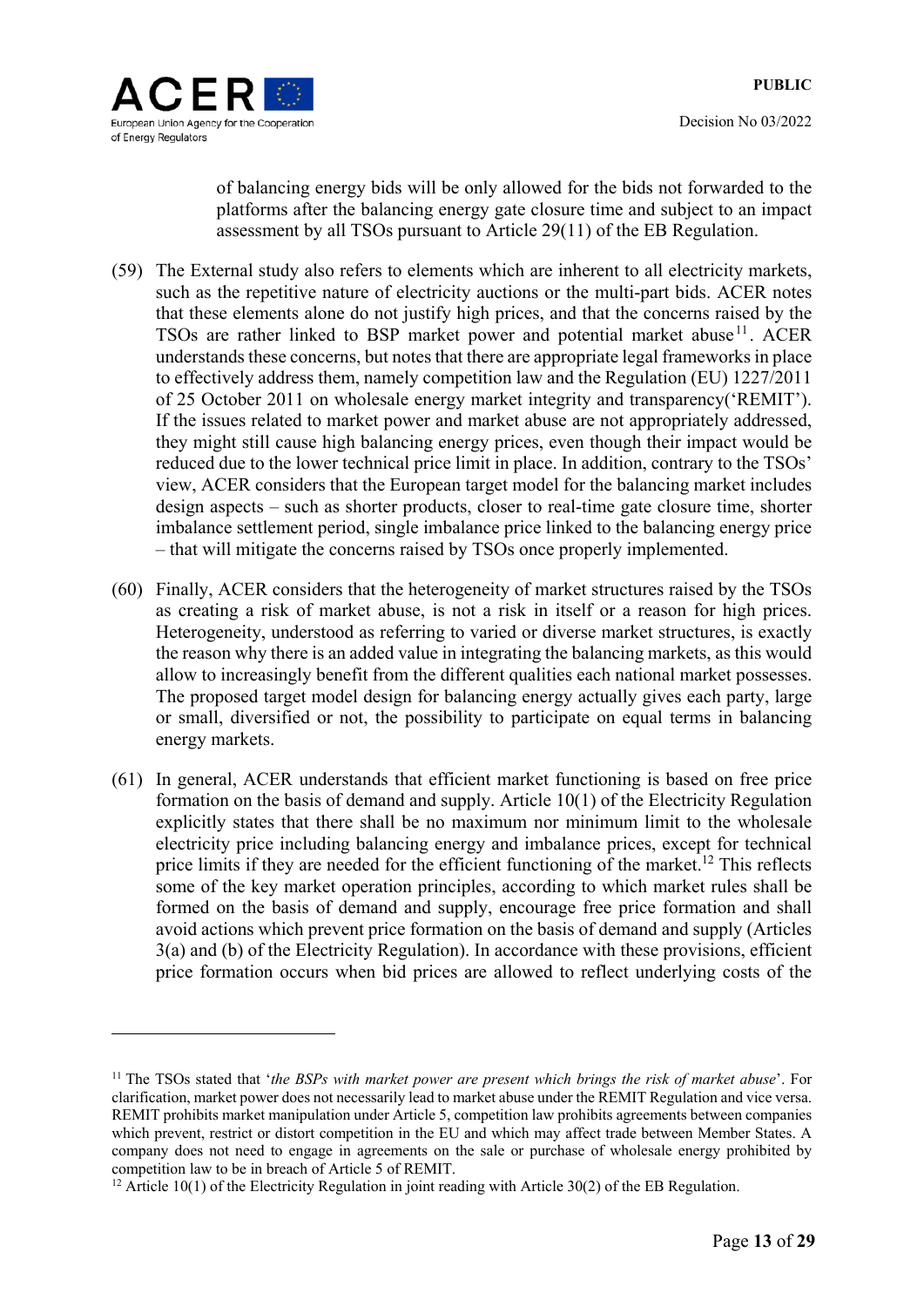



1

of balancing energy bids will be only allowed for the bids not forwarded to the platforms after the balancing energy gate closure time and subject to an impact assessment by all TSOs pursuant to Article 29(11) of the EB Regulation.

- (59) The External study also refers to elements which are inherent to all electricity markets, such as the repetitive nature of electricity auctions or the multi-part bids. ACER notes that these elements alone do not justify high prices, and that the concerns raised by the TSOs are rather linked to BSP market power and potential market abuse<sup>11</sup>. ACER understands these concerns, but notes that there are appropriate legal frameworks in place to effectively address them, namely competition law and the Regulation (EU) 1227/2011 of 25 October 2011 on wholesale energy market integrity and transparency('REMIT'). If the issues related to market power and market abuse are not appropriately addressed, they might still cause high balancing energy prices, even though their impact would be reduced due to the lower technical price limit in place. In addition, contrary to the TSOs' view, ACER considers that the European target model for the balancing market includes design aspects – such as shorter products, closer to real-time gate closure time, shorter imbalance settlement period, single imbalance price linked to the balancing energy price – that will mitigate the concerns raised by TSOs once properly implemented.
- (60) Finally, ACER considers that the heterogeneity of market structures raised by the TSOs as creating a risk of market abuse, is not a risk in itself or a reason for high prices. Heterogeneity, understood as referring to varied or diverse market structures, is exactly the reason why there is an added value in integrating the balancing markets, as this would allow to increasingly benefit from the different qualities each national market possesses. The proposed target model design for balancing energy actually gives each party, large or small, diversified or not, the possibility to participate on equal terms in balancing energy markets.
- (61) In general, ACER understands that efficient market functioning is based on free price formation on the basis of demand and supply. Article 10(1) of the Electricity Regulation explicitly states that there shall be no maximum nor minimum limit to the wholesale electricity price including balancing energy and imbalance prices, except for technical price limits if they are needed for the efficient functioning of the market.<sup>12</sup> This reflects some of the key market operation principles, according to which market rules shall be formed on the basis of demand and supply, encourage free price formation and shall avoid actions which prevent price formation on the basis of demand and supply (Articles 3(a) and (b) of the Electricity Regulation). In accordance with these provisions, efficient price formation occurs when bid prices are allowed to reflect underlying costs of the

<sup>&</sup>lt;sup>11</sup> The TSOs stated that '*the BSPs with market power are present which brings the risk of market abuse*'. For clarification, market power does not necessarily lead to market abuse under the REMIT Regulation and vice versa. REMIT prohibits market manipulation under Article 5, competition law prohibits agreements between companies which prevent, restrict or distort competition in the EU and which may affect trade between Member States. A company does not need to engage in agreements on the sale or purchase of wholesale energy prohibited by competition law to be in breach of Article 5 of REMIT. 12 Article 10(1) of the Electricity Regulation in joint reading with Article 30(2) of the EB Regulation.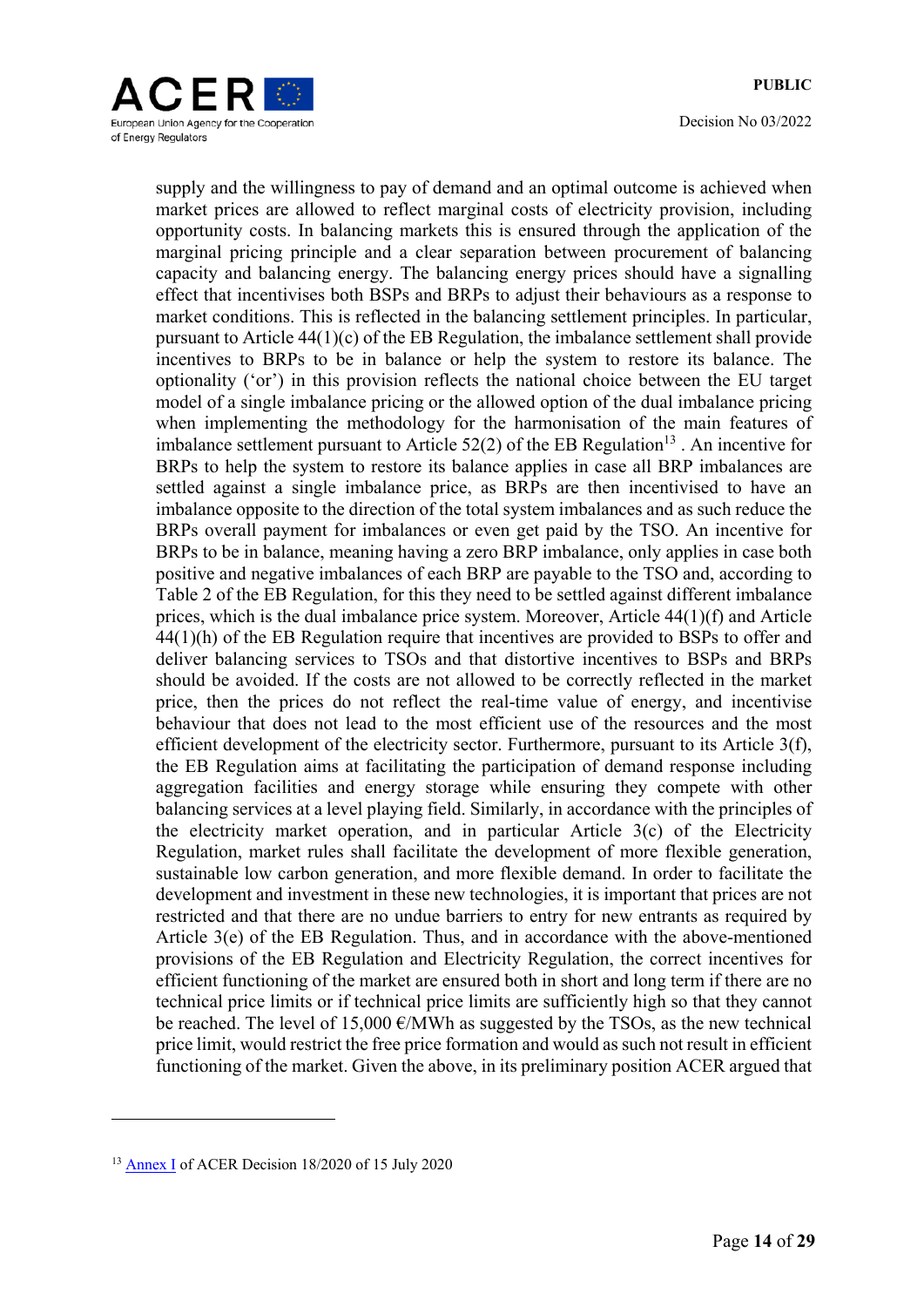

supply and the willingness to pay of demand and an optimal outcome is achieved when market prices are allowed to reflect marginal costs of electricity provision, including opportunity costs. In balancing markets this is ensured through the application of the marginal pricing principle and a clear separation between procurement of balancing capacity and balancing energy. The balancing energy prices should have a signalling effect that incentivises both BSPs and BRPs to adjust their behaviours as a response to market conditions. This is reflected in the balancing settlement principles. In particular, pursuant to Article 44(1)(c) of the EB Regulation, the imbalance settlement shall provide incentives to BRPs to be in balance or help the system to restore its balance. The optionality ('or') in this provision reflects the national choice between the EU target model of a single imbalance pricing or the allowed option of the dual imbalance pricing when implementing the methodology for the harmonisation of the main features of imbalance settlement pursuant to Article 52(2) of the EB Regulation<sup>13</sup>. An incentive for BRPs to help the system to restore its balance applies in case all BRP imbalances are settled against a single imbalance price, as BRPs are then incentivised to have an imbalance opposite to the direction of the total system imbalances and as such reduce the BRPs overall payment for imbalances or even get paid by the TSO. An incentive for BRPs to be in balance, meaning having a zero BRP imbalance, only applies in case both positive and negative imbalances of each BRP are payable to the TSO and, according to Table 2 of the EB Regulation, for this they need to be settled against different imbalance prices, which is the dual imbalance price system. Moreover, Article 44(1)(f) and Article 44(1)(h) of the EB Regulation require that incentives are provided to BSPs to offer and deliver balancing services to TSOs and that distortive incentives to BSPs and BRPs should be avoided. If the costs are not allowed to be correctly reflected in the market price, then the prices do not reflect the real-time value of energy, and incentivise behaviour that does not lead to the most efficient use of the resources and the most efficient development of the electricity sector. Furthermore, pursuant to its Article 3(f), the EB Regulation aims at facilitating the participation of demand response including aggregation facilities and energy storage while ensuring they compete with other balancing services at a level playing field. Similarly, in accordance with the principles of the electricity market operation, and in particular Article 3(c) of the Electricity Regulation, market rules shall facilitate the development of more flexible generation, sustainable low carbon generation, and more flexible demand. In order to facilitate the development and investment in these new technologies, it is important that prices are not restricted and that there are no undue barriers to entry for new entrants as required by Article 3(e) of the EB Regulation. Thus, and in accordance with the above-mentioned provisions of the EB Regulation and Electricity Regulation, the correct incentives for efficient functioning of the market are ensured both in short and long term if there are no technical price limits or if technical price limits are sufficiently high so that they cannot be reached. The level of 15,000  $\epsilon$ /MWh as suggested by the TSOs, as the new technical price limit, would restrict the free price formation and would as such not result in efficient functioning of the market. Given the above, in its preliminary position ACER argued that

<u>.</u>

<sup>13</sup> Annex I of ACER Decision 18/2020 of 15 July 2020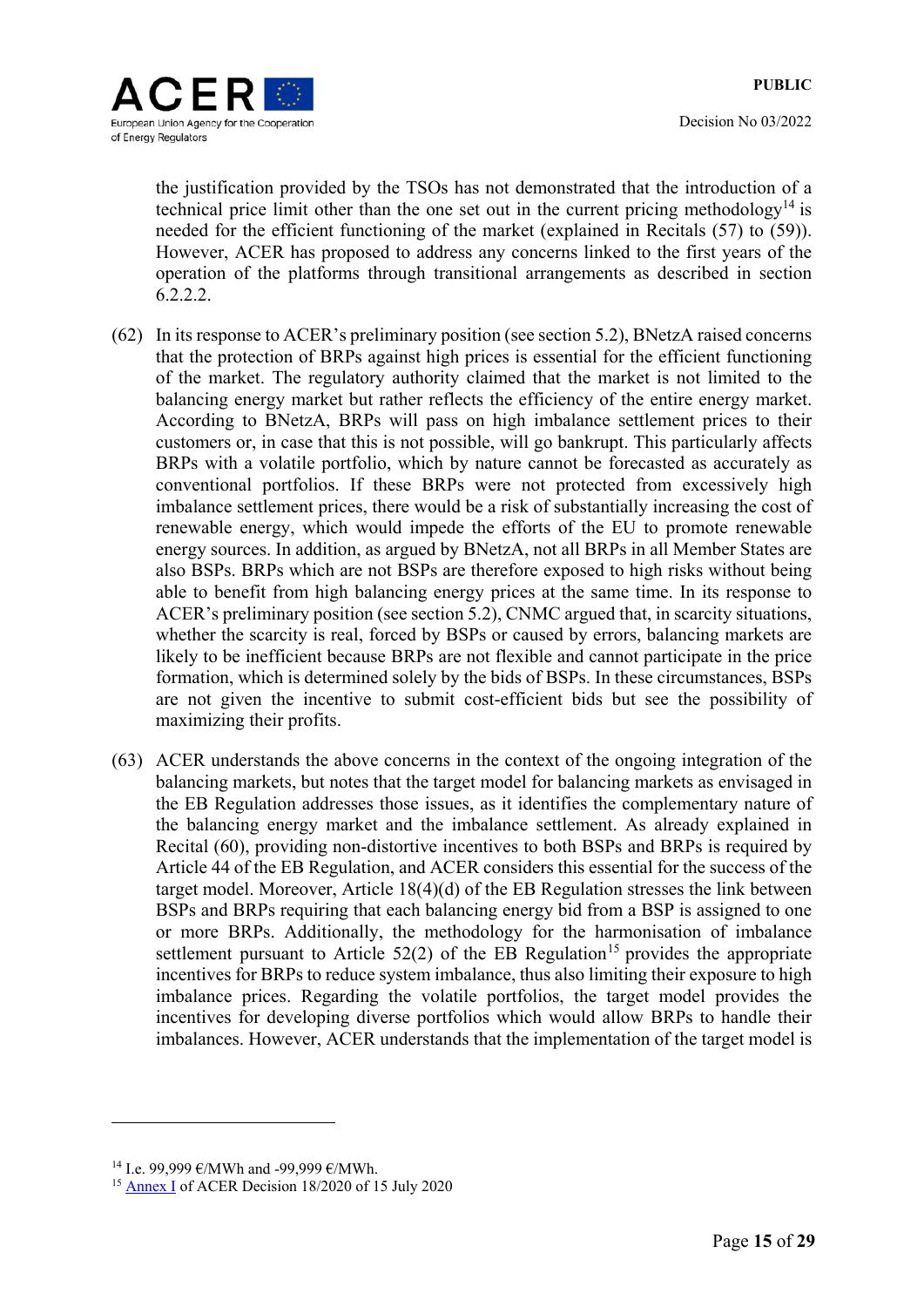

the justification provided by the TSOs has not demonstrated that the introduction of a technical price limit other than the one set out in the current pricing methodology<sup>14</sup> is needed for the efficient functioning of the market (explained in Recitals (57) to (59)). However, ACER has proposed to address any concerns linked to the first years of the operation of the platforms through transitional arrangements as described in section 6.2.2.2.

- (62) In its response to ACER's preliminary position (see section 5.2), BNetzA raised concerns that the protection of BRPs against high prices is essential for the efficient functioning of the market. The regulatory authority claimed that the market is not limited to the balancing energy market but rather reflects the efficiency of the entire energy market. According to BNetzA, BRPs will pass on high imbalance settlement prices to their customers or, in case that this is not possible, will go bankrupt. This particularly affects BRPs with a volatile portfolio, which by nature cannot be forecasted as accurately as conventional portfolios. If these BRPs were not protected from excessively high imbalance settlement prices, there would be a risk of substantially increasing the cost of renewable energy, which would impede the efforts of the EU to promote renewable energy sources. In addition, as argued by BNetzA, not all BRPs in all Member States are also BSPs. BRPs which are not BSPs are therefore exposed to high risks without being able to benefit from high balancing energy prices at the same time. In its response to ACER's preliminary position (see section 5.2), CNMC argued that, in scarcity situations, whether the scarcity is real, forced by BSPs or caused by errors, balancing markets are likely to be inefficient because BRPs are not flexible and cannot participate in the price formation, which is determined solely by the bids of BSPs. In these circumstances, BSPs are not given the incentive to submit cost-efficient bids but see the possibility of maximizing their profits.
- (63) ACER understands the above concerns in the context of the ongoing integration of the balancing markets, but notes that the target model for balancing markets as envisaged in the EB Regulation addresses those issues, as it identifies the complementary nature of the balancing energy market and the imbalance settlement. As already explained in Recital (60), providing non-distortive incentives to both BSPs and BRPs is required by Article 44 of the EB Regulation, and ACER considers this essential for the success of the target model. Moreover, Article 18(4)(d) of the EB Regulation stresses the link between BSPs and BRPs requiring that each balancing energy bid from a BSP is assigned to one or more BRPs. Additionally, the methodology for the harmonisation of imbalance settlement pursuant to Article  $52(2)$  of the EB Regulation<sup>15</sup> provides the appropriate incentives for BRPs to reduce system imbalance, thus also limiting their exposure to high imbalance prices. Regarding the volatile portfolios, the target model provides the incentives for developing diverse portfolios which would allow BRPs to handle their imbalances. However, ACER understands that the implementation of the target model is

<sup>&</sup>lt;sup>14</sup> I.e. 99,999  $\varepsilon$ /MWh and -99,999  $\varepsilon$ /MWh.

<sup>15</sup> Annex I of ACER Decision 18/2020 of 15 July 2020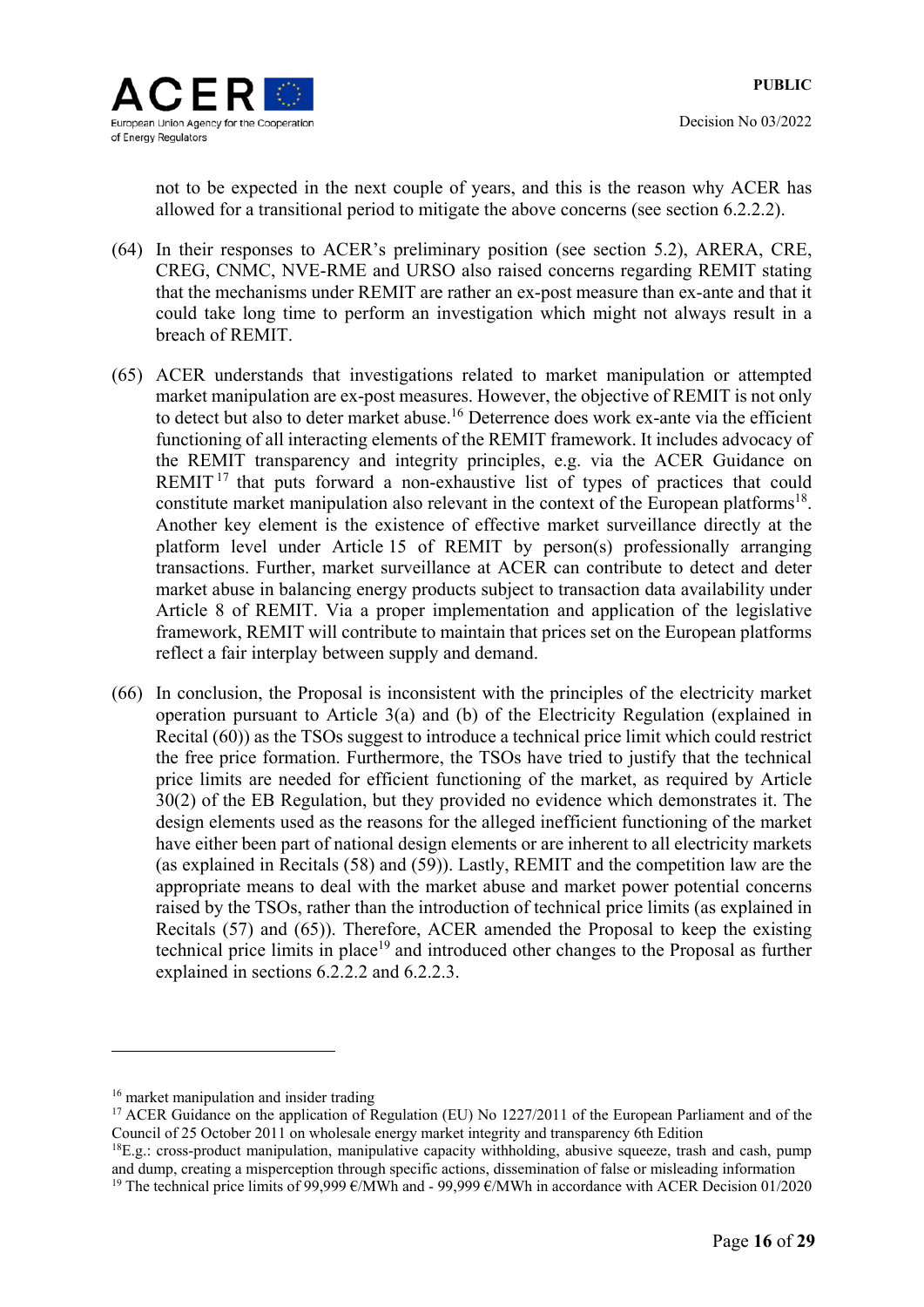not to be expected in the next couple of years, and this is the reason why ACER has allowed for a transitional period to mitigate the above concerns (see section 6.2.2.2).

- (64) In their responses to ACER's preliminary position (see section 5.2), ARERA, CRE, CREG, CNMC, NVE-RME and URSO also raised concerns regarding REMIT stating that the mechanisms under REMIT are rather an ex-post measure than ex-ante and that it could take long time to perform an investigation which might not always result in a breach of REMIT.
- (65) ACER understands that investigations related to market manipulation or attempted market manipulation are ex-post measures. However, the objective of REMIT is not only to detect but also to deter market abuse.<sup>16</sup> Deterrence does work ex-ante via the efficient functioning of all interacting elements of the REMIT framework. It includes advocacy of the REMIT transparency and integrity principles, e.g. via the ACER Guidance on REMIT<sup>17</sup> that puts forward a non-exhaustive list of types of practices that could constitute market manipulation also relevant in the context of the European platforms<sup>18</sup>. Another key element is the existence of effective market surveillance directly at the platform level under Article 15 of REMIT by person(s) professionally arranging transactions. Further, market surveillance at ACER can contribute to detect and deter market abuse in balancing energy products subject to transaction data availability under Article 8 of REMIT. Via a proper implementation and application of the legislative framework, REMIT will contribute to maintain that prices set on the European platforms reflect a fair interplay between supply and demand.
- (66) In conclusion, the Proposal is inconsistent with the principles of the electricity market operation pursuant to Article 3(a) and (b) of the Electricity Regulation (explained in Recital (60)) as the TSOs suggest to introduce a technical price limit which could restrict the free price formation. Furthermore, the TSOs have tried to justify that the technical price limits are needed for efficient functioning of the market, as required by Article 30(2) of the EB Regulation, but they provided no evidence which demonstrates it. The design elements used as the reasons for the alleged inefficient functioning of the market have either been part of national design elements or are inherent to all electricity markets (as explained in Recitals (58) and (59)). Lastly, REMIT and the competition law are the appropriate means to deal with the market abuse and market power potential concerns raised by the TSOs, rather than the introduction of technical price limits (as explained in Recitals (57) and (65)). Therefore, ACER amended the Proposal to keep the existing technical price limits in place<sup>19</sup> and introduced other changes to the Proposal as further explained in sections 6.2.2.2 and 6.2.2.3.

<sup>&</sup>lt;sup>16</sup> market manipulation and insider trading

<sup>&</sup>lt;sup>17</sup> ACER Guidance on the application of Regulation (EU) No 1227/2011 of the European Parliament and of the Council of 25 October 2011 on wholesale energy market integrity and transparency 6th Edition

 ${}^{18}E.g.:$  cross-product manipulation, manipulative capacity withholding, abusive squeeze, trash and cash, pump and dump, creating a misperception through specific actions, dissemination of false or misleading information <sup>19</sup> The technical price limits of 99,999  $\epsilon$ /MWh and - 99,999  $\epsilon$ /MWh in accordance with ACER Decision 01/2020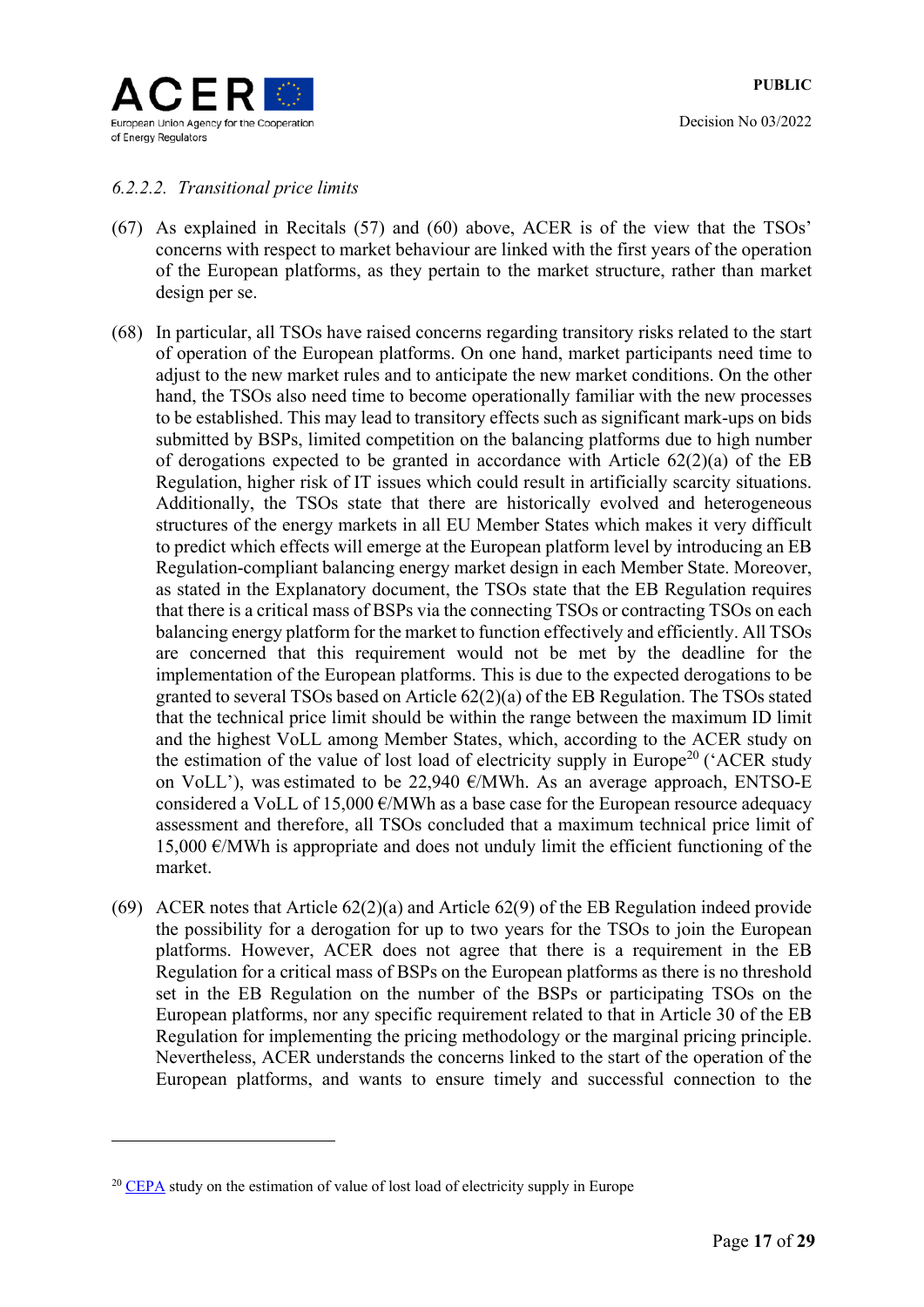

### *6.2.2.2. Transitional price limits*

- (67) As explained in Recitals (57) and (60) above, ACER is of the view that the TSOs' concerns with respect to market behaviour are linked with the first years of the operation of the European platforms, as they pertain to the market structure, rather than market design per se.
- (68) In particular, all TSOs have raised concerns regarding transitory risks related to the start of operation of the European platforms. On one hand, market participants need time to adjust to the new market rules and to anticipate the new market conditions. On the other hand, the TSOs also need time to become operationally familiar with the new processes to be established. This may lead to transitory effects such as significant mark-ups on bids submitted by BSPs, limited competition on the balancing platforms due to high number of derogations expected to be granted in accordance with Article 62(2)(a) of the EB Regulation, higher risk of IT issues which could result in artificially scarcity situations. Additionally, the TSOs state that there are historically evolved and heterogeneous structures of the energy markets in all EU Member States which makes it very difficult to predict which effects will emerge at the European platform level by introducing an EB Regulation-compliant balancing energy market design in each Member State. Moreover, as stated in the Explanatory document, the TSOs state that the EB Regulation requires that there is a critical mass of BSPs via the connecting TSOs or contracting TSOs on each balancing energy platform for the market to function effectively and efficiently. All TSOs are concerned that this requirement would not be met by the deadline for the implementation of the European platforms. This is due to the expected derogations to be granted to several TSOs based on Article 62(2)(a) of the EB Regulation. The TSOs stated that the technical price limit should be within the range between the maximum ID limit and the highest VoLL among Member States, which, according to the ACER study on the estimation of the value of lost load of electricity supply in Europe<sup>20</sup> ('ACER study on VoLL'), was estimated to be 22,940  $\epsilon$ /MWh. As an average approach, ENTSO-E considered a VoLL of 15,000  $\epsilon$ /MWh as a base case for the European resource adequacy assessment and therefore, all TSOs concluded that a maximum technical price limit of 15,000  $\epsilon$ /MWh is appropriate and does not unduly limit the efficient functioning of the market.
- (69) ACER notes that Article 62(2)(a) and Article 62(9) of the EB Regulation indeed provide the possibility for a derogation for up to two years for the TSOs to join the European platforms. However, ACER does not agree that there is a requirement in the EB Regulation for a critical mass of BSPs on the European platforms as there is no threshold set in the EB Regulation on the number of the BSPs or participating TSOs on the European platforms, nor any specific requirement related to that in Article 30 of the EB Regulation for implementing the pricing methodology or the marginal pricing principle. Nevertheless, ACER understands the concerns linked to the start of the operation of the European platforms, and wants to ensure timely and successful connection to the

<u>.</u>

 $20$  CEPA study on the estimation of value of lost load of electricity supply in Europe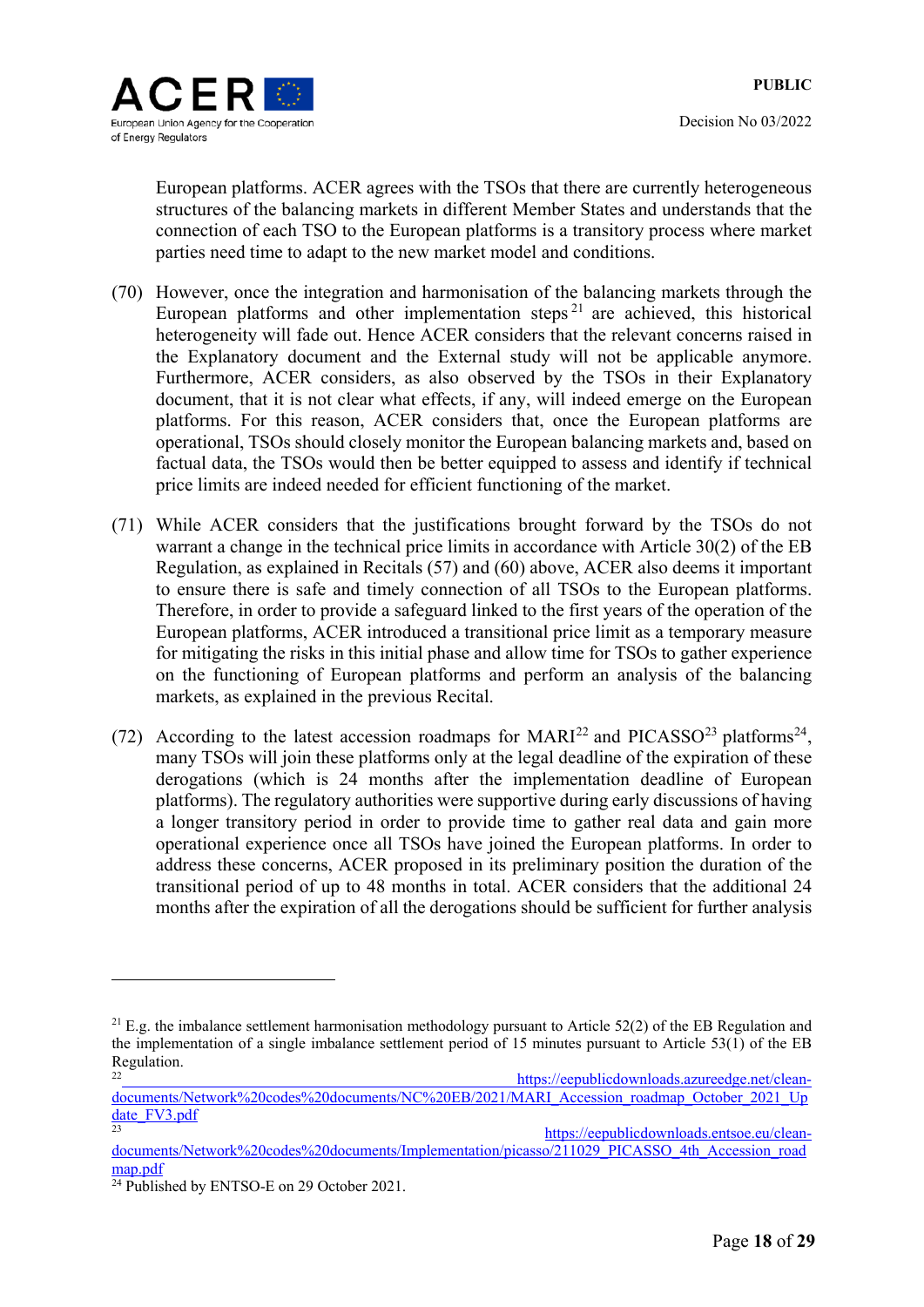European platforms. ACER agrees with the TSOs that there are currently heterogeneous structures of the balancing markets in different Member States and understands that the connection of each TSO to the European platforms is a transitory process where market parties need time to adapt to the new market model and conditions.

- (70) However, once the integration and harmonisation of the balancing markets through the European platforms and other implementation steps<sup>21</sup> are achieved, this historical heterogeneity will fade out. Hence ACER considers that the relevant concerns raised in the Explanatory document and the External study will not be applicable anymore. Furthermore, ACER considers, as also observed by the TSOs in their Explanatory document, that it is not clear what effects, if any, will indeed emerge on the European platforms. For this reason, ACER considers that, once the European platforms are operational, TSOs should closely monitor the European balancing markets and, based on factual data, the TSOs would then be better equipped to assess and identify if technical price limits are indeed needed for efficient functioning of the market.
- (71) While ACER considers that the justifications brought forward by the TSOs do not warrant a change in the technical price limits in accordance with Article 30(2) of the EB Regulation, as explained in Recitals (57) and (60) above, ACER also deems it important to ensure there is safe and timely connection of all TSOs to the European platforms. Therefore, in order to provide a safeguard linked to the first years of the operation of the European platforms, ACER introduced a transitional price limit as a temporary measure for mitigating the risks in this initial phase and allow time for TSOs to gather experience on the functioning of European platforms and perform an analysis of the balancing markets, as explained in the previous Recital.
- (72) According to the latest accession roadmaps for  $MARI^{22}$  and PICASSO<sup>23</sup> platforms<sup>24</sup>, many TSOs will join these platforms only at the legal deadline of the expiration of these derogations (which is 24 months after the implementation deadline of European platforms). The regulatory authorities were supportive during early discussions of having a longer transitory period in order to provide time to gather real data and gain more operational experience once all TSOs have joined the European platforms. In order to address these concerns, ACER proposed in its preliminary position the duration of the transitional period of up to 48 months in total. ACER considers that the additional 24 months after the expiration of all the derogations should be sufficient for further analysis

 $21$  E.g. the imbalance settlement harmonisation methodology pursuant to Article 52(2) of the EB Regulation and the implementation of a single imbalance settlement period of 15 minutes pursuant to Article 53(1) of the EB Regulation.

https://eepublicdownloads.azureedge.net/cleandocuments/Network%20codes%20documents/NC%20EB/2021/MARI\_Accession\_roadmap\_October\_2021\_Up date\_FV3.pdf<br>23 https://eepublicdownloads.entsoe.eu/clean-

documents/Network%20codes%20documents/Implementation/picasso/211029\_PICASSO\_4th\_Accession\_road<br>map.pdf

 $\frac{24 \text{ Published by ENTSO-E on 29 October 2021.}}{24 \text{ Published by ENTSO-E on 29 October 2021.}}$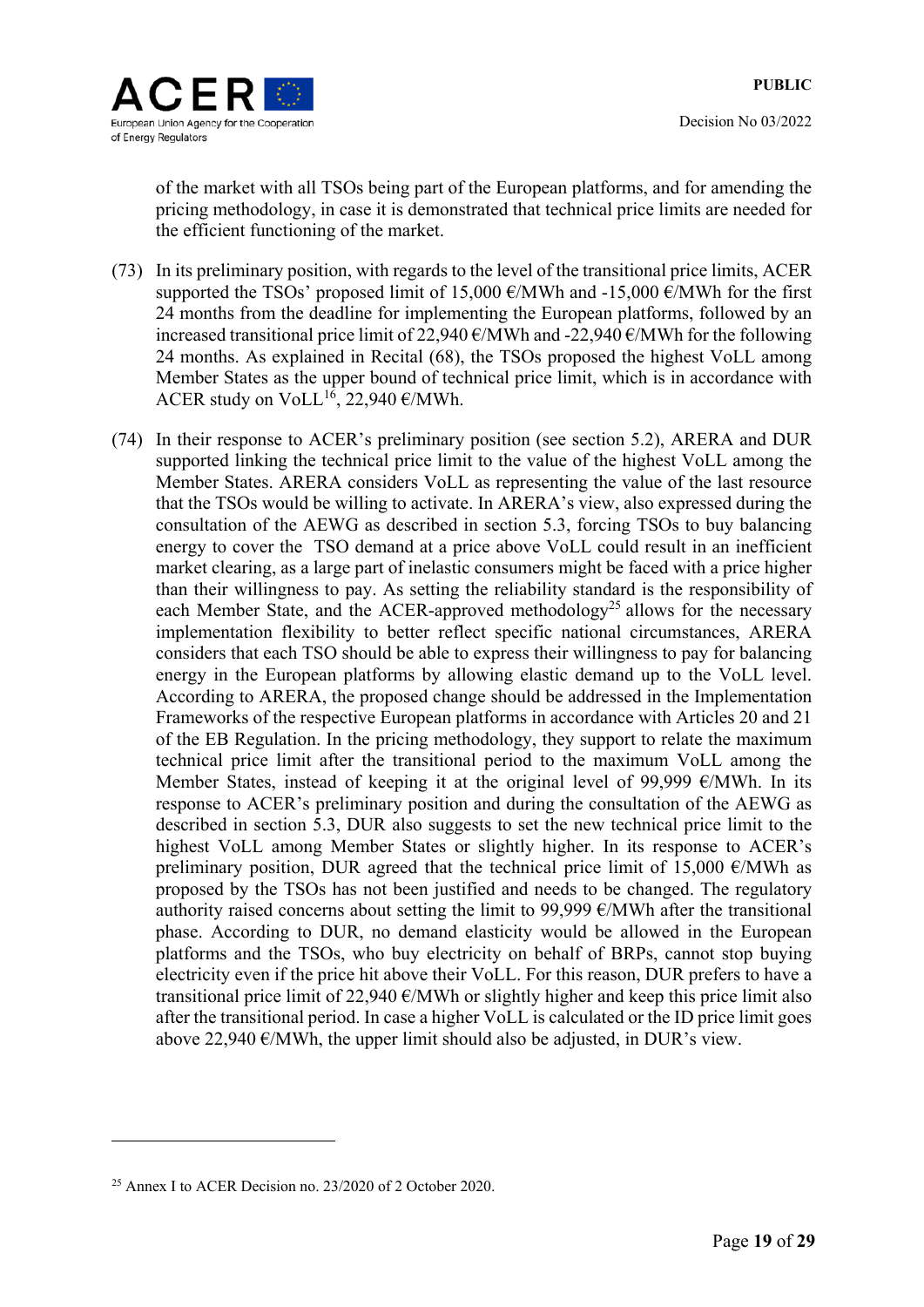of the market with all TSOs being part of the European platforms, and for amending the pricing methodology, in case it is demonstrated that technical price limits are needed for the efficient functioning of the market.

- (73) In its preliminary position, with regards to the level of the transitional price limits, ACER supported the TSOs' proposed limit of 15,000  $\epsilon$ /MWh and -15,000  $\epsilon$ /MWh for the first 24 months from the deadline for implementing the European platforms, followed by an increased transitional price limit of 22,940  $\epsilon$ /MWh and -22,940  $\epsilon$ /MWh for the following 24 months. As explained in Recital (68), the TSOs proposed the highest VoLL among Member States as the upper bound of technical price limit, which is in accordance with ACER study on VoLL<sup>16</sup>, 22,940  $\epsilon$ /MWh.
- (74) In their response to ACER's preliminary position (see section 5.2), ARERA and DUR supported linking the technical price limit to the value of the highest VoLL among the Member States. ARERA considers VoLL as representing the value of the last resource that the TSOs would be willing to activate. In ARERA's view, also expressed during the consultation of the AEWG as described in section 5.3, forcing TSOs to buy balancing energy to cover the TSO demand at a price above VoLL could result in an inefficient market clearing, as a large part of inelastic consumers might be faced with a price higher than their willingness to pay. As setting the reliability standard is the responsibility of each Member State, and the ACER-approved methodology<sup>25</sup> allows for the necessary implementation flexibility to better reflect specific national circumstances, ARERA considers that each TSO should be able to express their willingness to pay for balancing energy in the European platforms by allowing elastic demand up to the VoLL level. According to ARERA, the proposed change should be addressed in the Implementation Frameworks of the respective European platforms in accordance with Articles 20 and 21 of the EB Regulation. In the pricing methodology, they support to relate the maximum technical price limit after the transitional period to the maximum VoLL among the Member States, instead of keeping it at the original level of 99,999  $\epsilon$ /MWh. In its response to ACER's preliminary position and during the consultation of the AEWG as described in section 5.3, DUR also suggests to set the new technical price limit to the highest VoLL among Member States or slightly higher. In its response to ACER's preliminary position, DUR agreed that the technical price limit of 15,000  $\epsilon$ /MWh as proposed by the TSOs has not been justified and needs to be changed. The regulatory authority raised concerns about setting the limit to 99,999  $\epsilon$ /MWh after the transitional phase. According to DUR, no demand elasticity would be allowed in the European platforms and the TSOs, who buy electricity on behalf of BRPs, cannot stop buying electricity even if the price hit above their VoLL. For this reason, DUR prefers to have a transitional price limit of 22,940  $\epsilon$ /MWh or slightly higher and keep this price limit also after the transitional period. In case a higher VoLL is calculated or the ID price limit goes above 22,940  $\epsilon$ /MWh, the upper limit should also be adjusted, in DUR's view.

<u>.</u>

<sup>25</sup> Annex I to ACER Decision no. 23/2020 of 2 October 2020.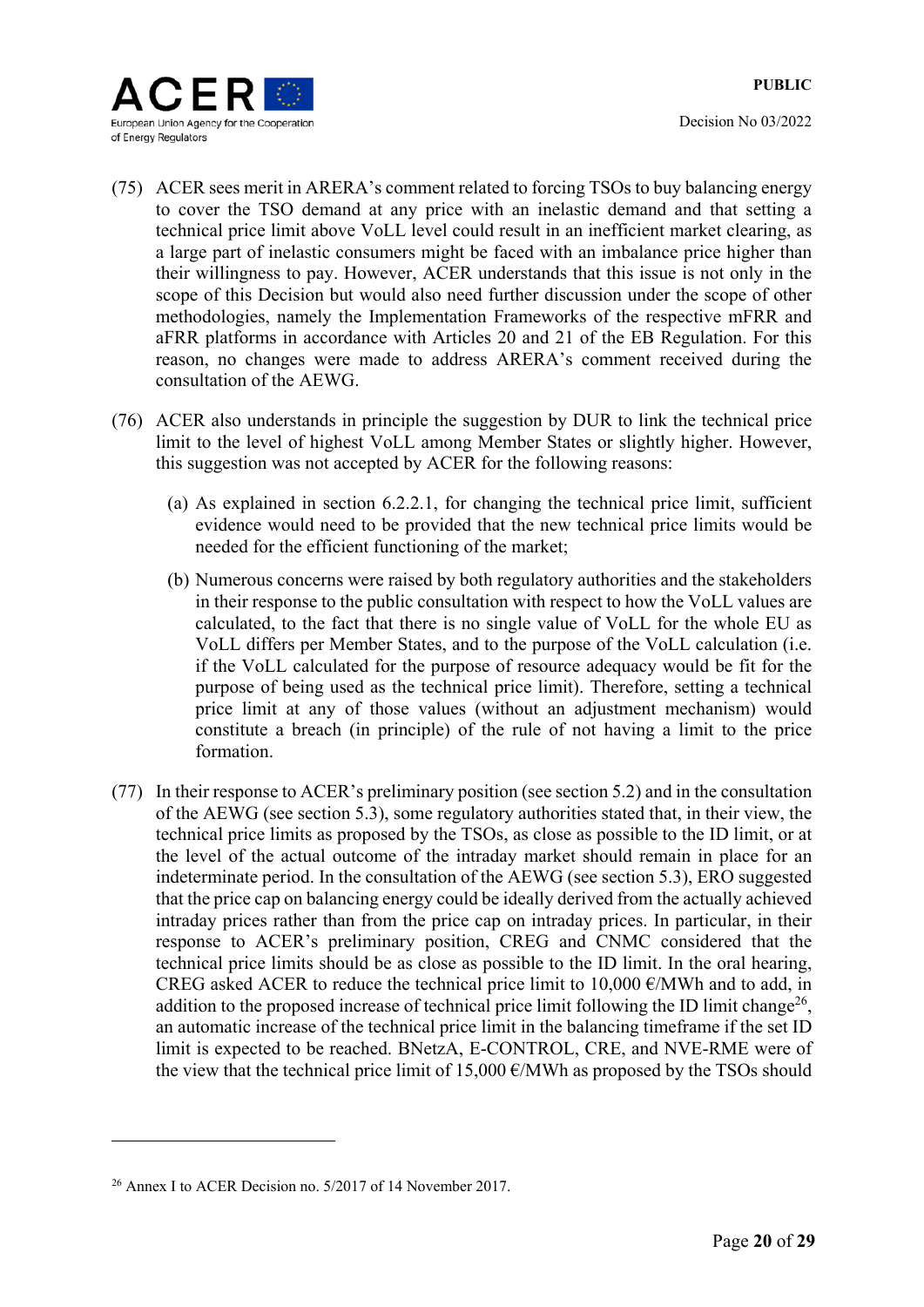

- (75) ACER sees merit in ARERA's comment related to forcing TSOs to buy balancing energy to cover the TSO demand at any price with an inelastic demand and that setting a technical price limit above VoLL level could result in an inefficient market clearing, as a large part of inelastic consumers might be faced with an imbalance price higher than their willingness to pay. However, ACER understands that this issue is not only in the scope of this Decision but would also need further discussion under the scope of other methodologies, namely the Implementation Frameworks of the respective mFRR and aFRR platforms in accordance with Articles 20 and 21 of the EB Regulation. For this reason, no changes were made to address ARERA's comment received during the consultation of the AEWG.
- (76) ACER also understands in principle the suggestion by DUR to link the technical price limit to the level of highest VoLL among Member States or slightly higher. However, this suggestion was not accepted by ACER for the following reasons:
	- (a) As explained in section 6.2.2.1, for changing the technical price limit, sufficient evidence would need to be provided that the new technical price limits would be needed for the efficient functioning of the market;
	- (b) Numerous concerns were raised by both regulatory authorities and the stakeholders in their response to the public consultation with respect to how the VoLL values are calculated, to the fact that there is no single value of VoLL for the whole EU as VoLL differs per Member States, and to the purpose of the VoLL calculation (i.e. if the VoLL calculated for the purpose of resource adequacy would be fit for the purpose of being used as the technical price limit). Therefore, setting a technical price limit at any of those values (without an adjustment mechanism) would constitute a breach (in principle) of the rule of not having a limit to the price formation.
- (77) In their response to ACER's preliminary position (see section 5.2) and in the consultation of the AEWG (see section 5.3), some regulatory authorities stated that, in their view, the technical price limits as proposed by the TSOs, as close as possible to the ID limit, or at the level of the actual outcome of the intraday market should remain in place for an indeterminate period. In the consultation of the AEWG (see section 5.3), ERO suggested that the price cap on balancing energy could be ideally derived from the actually achieved intraday prices rather than from the price cap on intraday prices. In particular, in their response to ACER's preliminary position, CREG and CNMC considered that the technical price limits should be as close as possible to the ID limit. In the oral hearing, CREG asked ACER to reduce the technical price limit to 10,000  $\epsilon$ /MWh and to add, in addition to the proposed increase of technical price limit following the ID limit change<sup>26</sup>, an automatic increase of the technical price limit in the balancing timeframe if the set ID limit is expected to be reached. BNetzA, E-CONTROL, CRE, and NVE-RME were of the view that the technical price limit of  $15,000 \text{ }\epsilon/\text{MWh}$  as proposed by the TSOs should

<u>.</u>

<sup>26</sup> Annex I to ACER Decision no. 5/2017 of 14 November 2017.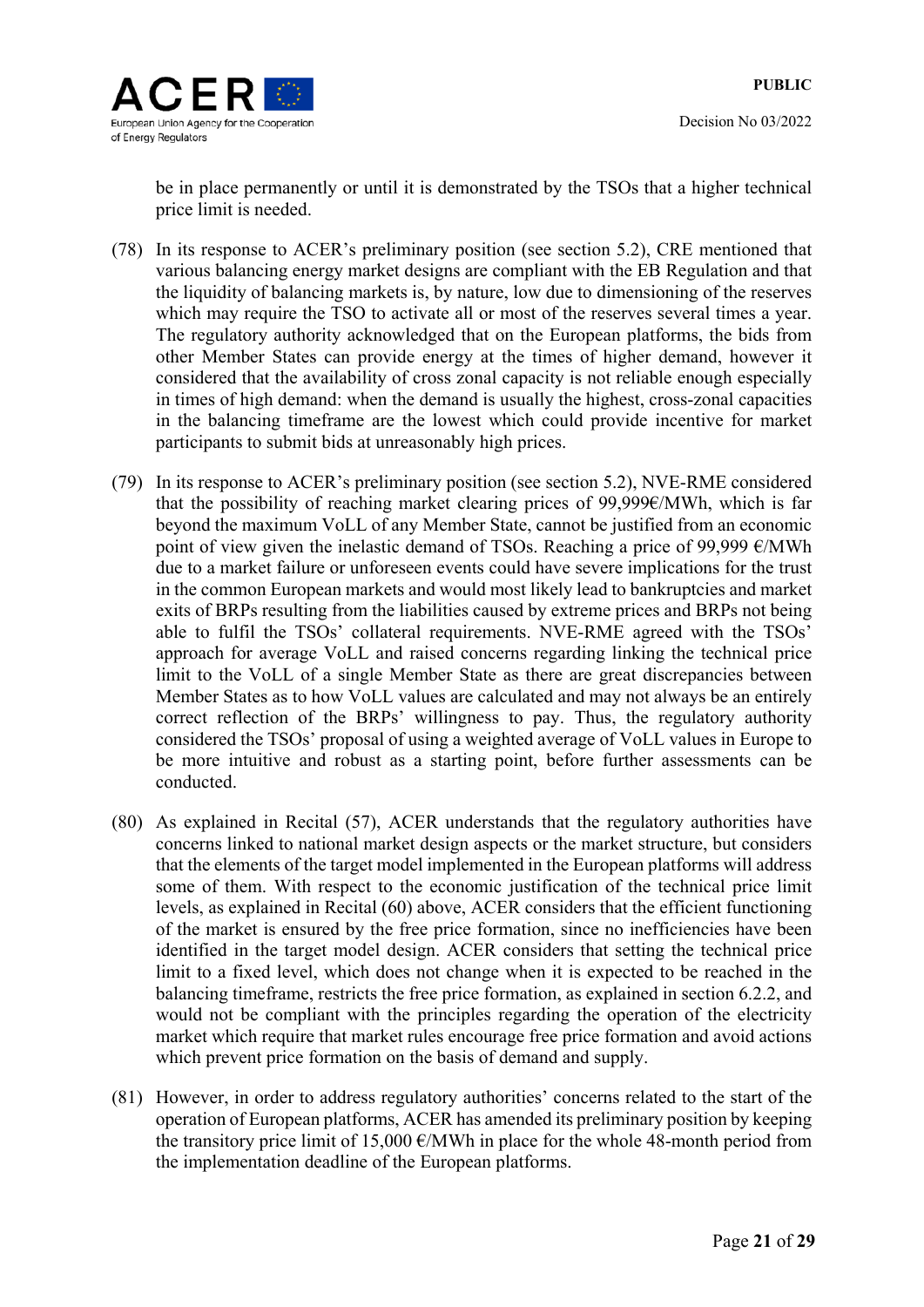



be in place permanently or until it is demonstrated by the TSOs that a higher technical price limit is needed.

- (78) In its response to ACER's preliminary position (see section 5.2), CRE mentioned that various balancing energy market designs are compliant with the EB Regulation and that the liquidity of balancing markets is, by nature, low due to dimensioning of the reserves which may require the TSO to activate all or most of the reserves several times a year. The regulatory authority acknowledged that on the European platforms, the bids from other Member States can provide energy at the times of higher demand, however it considered that the availability of cross zonal capacity is not reliable enough especially in times of high demand: when the demand is usually the highest, cross-zonal capacities in the balancing timeframe are the lowest which could provide incentive for market participants to submit bids at unreasonably high prices.
- (79) In its response to ACER's preliminary position (see section 5.2), NVE-RME considered that the possibility of reaching market clearing prices of 99,999€/MWh, which is far beyond the maximum VoLL of any Member State, cannot be justified from an economic point of view given the inelastic demand of TSOs. Reaching a price of 99,999  $\epsilon$ /MWh due to a market failure or unforeseen events could have severe implications for the trust in the common European markets and would most likely lead to bankruptcies and market exits of BRPs resulting from the liabilities caused by extreme prices and BRPs not being able to fulfil the TSOs' collateral requirements. NVE-RME agreed with the TSOs' approach for average VoLL and raised concerns regarding linking the technical price limit to the VoLL of a single Member State as there are great discrepancies between Member States as to how VoLL values are calculated and may not always be an entirely correct reflection of the BRPs' willingness to pay. Thus, the regulatory authority considered the TSOs' proposal of using a weighted average of VoLL values in Europe to be more intuitive and robust as a starting point, before further assessments can be conducted.
- (80) As explained in Recital (57), ACER understands that the regulatory authorities have concerns linked to national market design aspects or the market structure, but considers that the elements of the target model implemented in the European platforms will address some of them. With respect to the economic justification of the technical price limit levels, as explained in Recital (60) above, ACER considers that the efficient functioning of the market is ensured by the free price formation, since no inefficiencies have been identified in the target model design. ACER considers that setting the technical price limit to a fixed level, which does not change when it is expected to be reached in the balancing timeframe, restricts the free price formation, as explained in section 6.2.2, and would not be compliant with the principles regarding the operation of the electricity market which require that market rules encourage free price formation and avoid actions which prevent price formation on the basis of demand and supply.
- (81) However, in order to address regulatory authorities' concerns related to the start of the operation of European platforms, ACER has amended its preliminary position by keeping the transitory price limit of 15,000  $\epsilon$ /MWh in place for the whole 48-month period from the implementation deadline of the European platforms.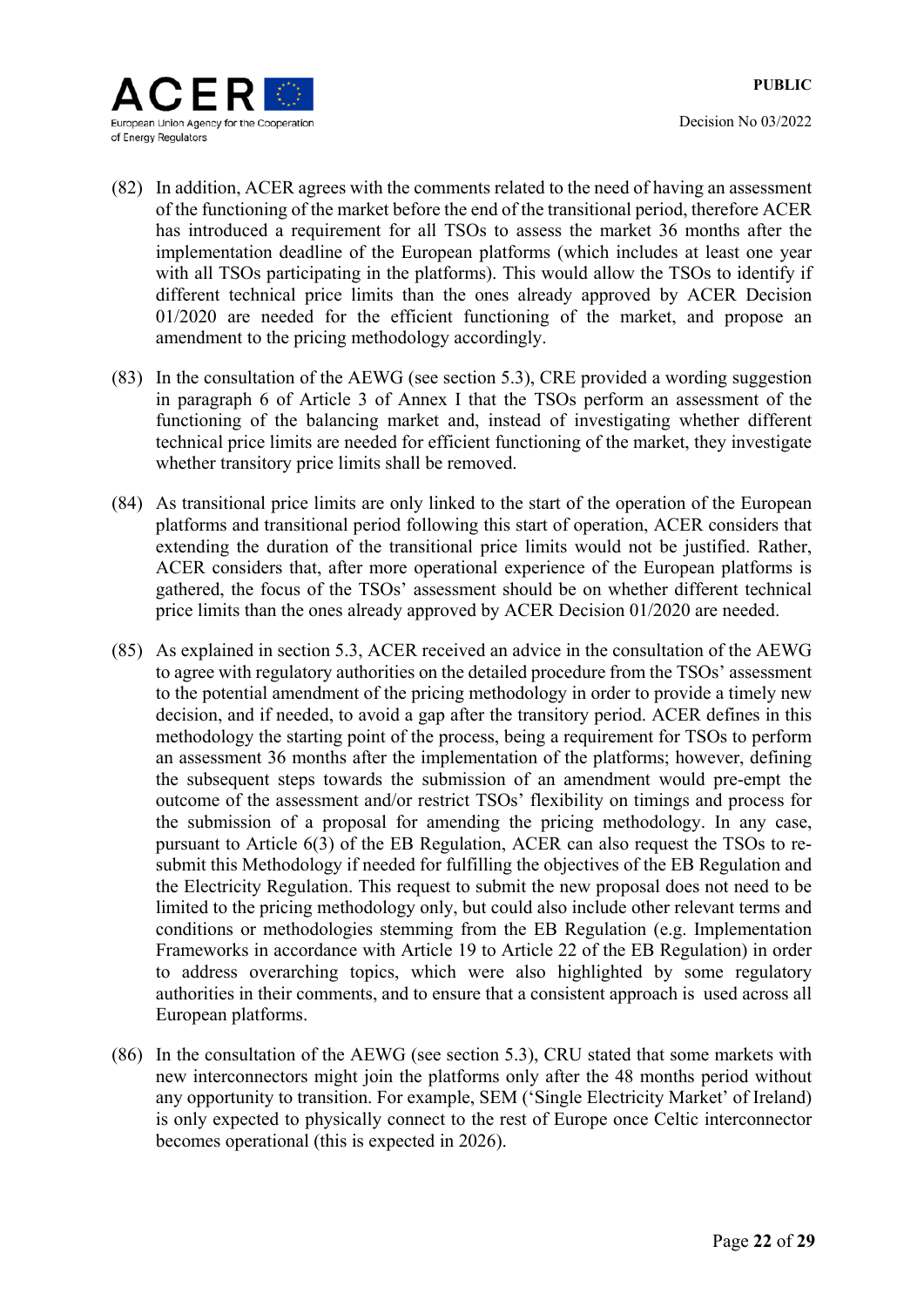

- (82) In addition, ACER agrees with the comments related to the need of having an assessment of the functioning of the market before the end of the transitional period, therefore ACER has introduced a requirement for all TSOs to assess the market 36 months after the implementation deadline of the European platforms (which includes at least one year with all TSOs participating in the platforms). This would allow the TSOs to identify if different technical price limits than the ones already approved by ACER Decision 01/2020 are needed for the efficient functioning of the market, and propose an amendment to the pricing methodology accordingly.
- (83) In the consultation of the AEWG (see section 5.3), CRE provided a wording suggestion in paragraph 6 of Article 3 of Annex I that the TSOs perform an assessment of the functioning of the balancing market and, instead of investigating whether different technical price limits are needed for efficient functioning of the market, they investigate whether transitory price limits shall be removed.
- (84) As transitional price limits are only linked to the start of the operation of the European platforms and transitional period following this start of operation, ACER considers that extending the duration of the transitional price limits would not be justified. Rather, ACER considers that, after more operational experience of the European platforms is gathered, the focus of the TSOs' assessment should be on whether different technical price limits than the ones already approved by ACER Decision 01/2020 are needed.
- (85) As explained in section 5.3, ACER received an advice in the consultation of the AEWG to agree with regulatory authorities on the detailed procedure from the TSOs' assessment to the potential amendment of the pricing methodology in order to provide a timely new decision, and if needed, to avoid a gap after the transitory period. ACER defines in this methodology the starting point of the process, being a requirement for TSOs to perform an assessment 36 months after the implementation of the platforms; however, defining the subsequent steps towards the submission of an amendment would pre-empt the outcome of the assessment and/or restrict TSOs' flexibility on timings and process for the submission of a proposal for amending the pricing methodology. In any case, pursuant to Article 6(3) of the EB Regulation, ACER can also request the TSOs to resubmit this Methodology if needed for fulfilling the objectives of the EB Regulation and the Electricity Regulation. This request to submit the new proposal does not need to be limited to the pricing methodology only, but could also include other relevant terms and conditions or methodologies stemming from the EB Regulation (e.g. Implementation Frameworks in accordance with Article 19 to Article 22 of the EB Regulation) in order to address overarching topics, which were also highlighted by some regulatory authorities in their comments, and to ensure that a consistent approach is used across all European platforms.
- (86) In the consultation of the AEWG (see section 5.3), CRU stated that some markets with new interconnectors might join the platforms only after the 48 months period without any opportunity to transition. For example, SEM ('Single Electricity Market' of Ireland) is only expected to physically connect to the rest of Europe once Celtic interconnector becomes operational (this is expected in 2026).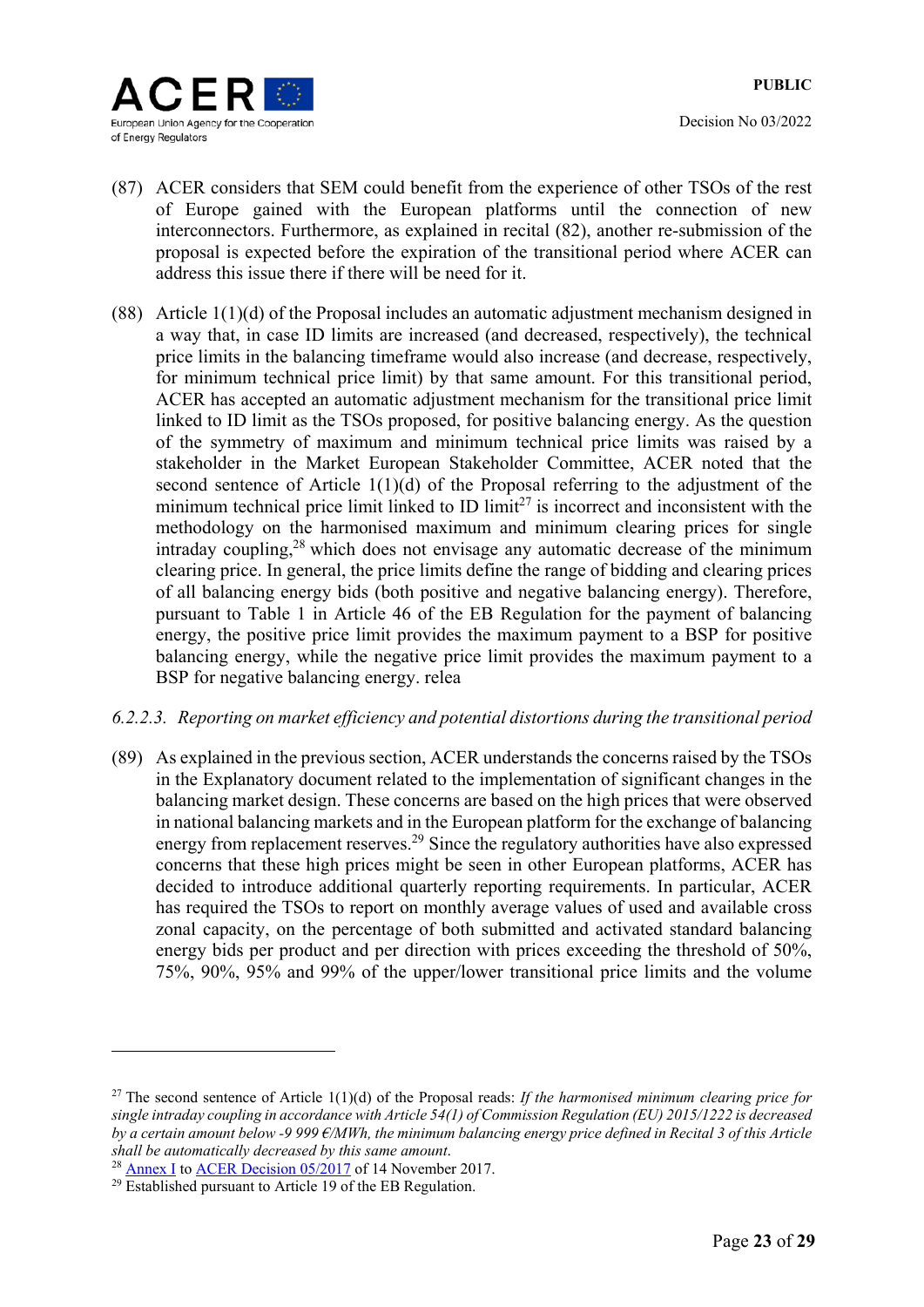

- (87) ACER considers that SEM could benefit from the experience of other TSOs of the rest of Europe gained with the European platforms until the connection of new interconnectors. Furthermore, as explained in recital (82), another re-submission of the proposal is expected before the expiration of the transitional period where ACER can address this issue there if there will be need for it.
- (88) Article 1(1)(d) of the Proposal includes an automatic adjustment mechanism designed in a way that, in case ID limits are increased (and decreased, respectively), the technical price limits in the balancing timeframe would also increase (and decrease, respectively, for minimum technical price limit) by that same amount. For this transitional period, ACER has accepted an automatic adjustment mechanism for the transitional price limit linked to ID limit as the TSOs proposed, for positive balancing energy. As the question of the symmetry of maximum and minimum technical price limits was raised by a stakeholder in the Market European Stakeholder Committee, ACER noted that the second sentence of Article  $1(1)(d)$  of the Proposal referring to the adjustment of the minimum technical price limit linked to ID limit<sup>27</sup> is incorrect and inconsistent with the methodology on the harmonised maximum and minimum clearing prices for single intraday coupling, $28$  which does not envisage any automatic decrease of the minimum clearing price. In general, the price limits define the range of bidding and clearing prices of all balancing energy bids (both positive and negative balancing energy). Therefore, pursuant to Table 1 in Article 46 of the EB Regulation for the payment of balancing energy, the positive price limit provides the maximum payment to a BSP for positive balancing energy, while the negative price limit provides the maximum payment to a BSP for negative balancing energy. relea

### *6.2.2.3. Reporting on market efficiency and potential distortions during the transitional period*

(89) As explained in the previous section, ACER understands the concerns raised by the TSOs in the Explanatory document related to the implementation of significant changes in the balancing market design. These concerns are based on the high prices that were observed in national balancing markets and in the European platform for the exchange of balancing energy from replacement reserves.29 Since the regulatory authorities have also expressed concerns that these high prices might be seen in other European platforms, ACER has decided to introduce additional quarterly reporting requirements. In particular, ACER has required the TSOs to report on monthly average values of used and available cross zonal capacity, on the percentage of both submitted and activated standard balancing energy bids per product and per direction with prices exceeding the threshold of 50%, 75%, 90%, 95% and 99% of the upper/lower transitional price limits and the volume

<sup>27</sup> The second sentence of Article 1(1)(d) of the Proposal reads: *If the harmonised minimum clearing price for single intraday coupling in accordance with Article 54(1) of Commission Regulation (EU) 2015/1222 is decreased by a certain amount below -9 999 €/MWh, the minimum balancing energy price defined in Recital 3 of this Article shall be automatically decreased by this same amount*. 28 Annex I to ACER Decision 05/2017 of 14 November 2017.

<sup>&</sup>lt;sup>29</sup> Established pursuant to Article 19 of the EB Regulation.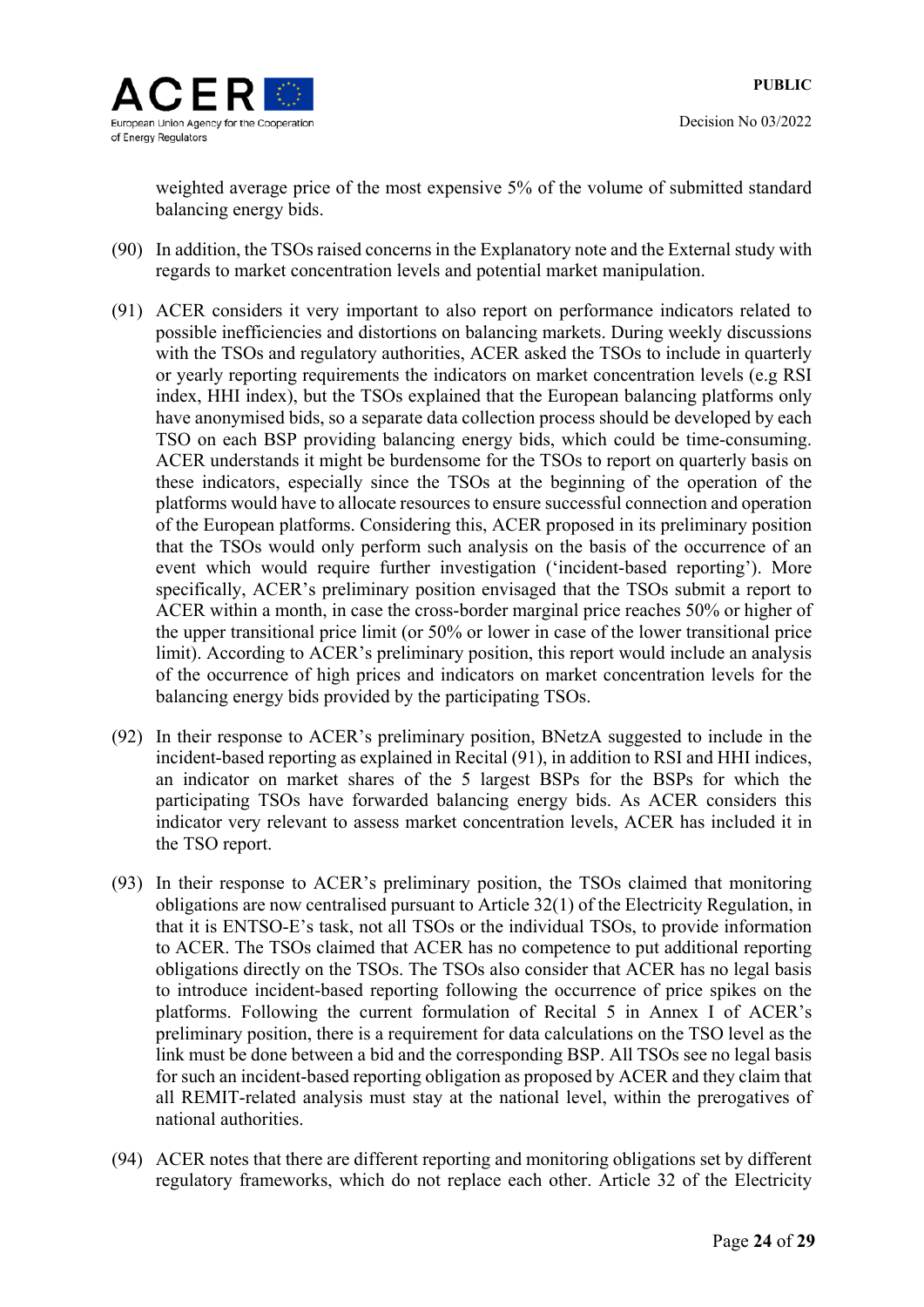

weighted average price of the most expensive 5% of the volume of submitted standard balancing energy bids.

- (90) In addition, the TSOs raised concerns in the Explanatory note and the External study with regards to market concentration levels and potential market manipulation.
- (91) ACER considers it very important to also report on performance indicators related to possible inefficiencies and distortions on balancing markets. During weekly discussions with the TSOs and regulatory authorities, ACER asked the TSOs to include in quarterly or yearly reporting requirements the indicators on market concentration levels (e.g RSI index, HHI index), but the TSOs explained that the European balancing platforms only have anonymised bids, so a separate data collection process should be developed by each TSO on each BSP providing balancing energy bids, which could be time-consuming. ACER understands it might be burdensome for the TSOs to report on quarterly basis on these indicators, especially since the TSOs at the beginning of the operation of the platforms would have to allocate resources to ensure successful connection and operation of the European platforms. Considering this, ACER proposed in its preliminary position that the TSOs would only perform such analysis on the basis of the occurrence of an event which would require further investigation ('incident-based reporting'). More specifically, ACER's preliminary position envisaged that the TSOs submit a report to ACER within a month, in case the cross-border marginal price reaches 50% or higher of the upper transitional price limit (or 50% or lower in case of the lower transitional price limit). According to ACER's preliminary position, this report would include an analysis of the occurrence of high prices and indicators on market concentration levels for the balancing energy bids provided by the participating TSOs.
- (92) In their response to ACER's preliminary position, BNetzA suggested to include in the incident-based reporting as explained in Recital (91), in addition to RSI and HHI indices, an indicator on market shares of the 5 largest BSPs for the BSPs for which the participating TSOs have forwarded balancing energy bids. As ACER considers this indicator very relevant to assess market concentration levels, ACER has included it in the TSO report.
- (93) In their response to ACER's preliminary position, the TSOs claimed that monitoring obligations are now centralised pursuant to Article 32(1) of the Electricity Regulation, in that it is ENTSO-E's task, not all TSOs or the individual TSOs, to provide information to ACER. The TSOs claimed that ACER has no competence to put additional reporting obligations directly on the TSOs. The TSOs also consider that ACER has no legal basis to introduce incident-based reporting following the occurrence of price spikes on the platforms. Following the current formulation of Recital 5 in Annex I of ACER's preliminary position, there is a requirement for data calculations on the TSO level as the link must be done between a bid and the corresponding BSP. All TSOs see no legal basis for such an incident-based reporting obligation as proposed by ACER and they claim that all REMIT-related analysis must stay at the national level, within the prerogatives of national authorities.
- (94) ACER notes that there are different reporting and monitoring obligations set by different regulatory frameworks, which do not replace each other. Article 32 of the Electricity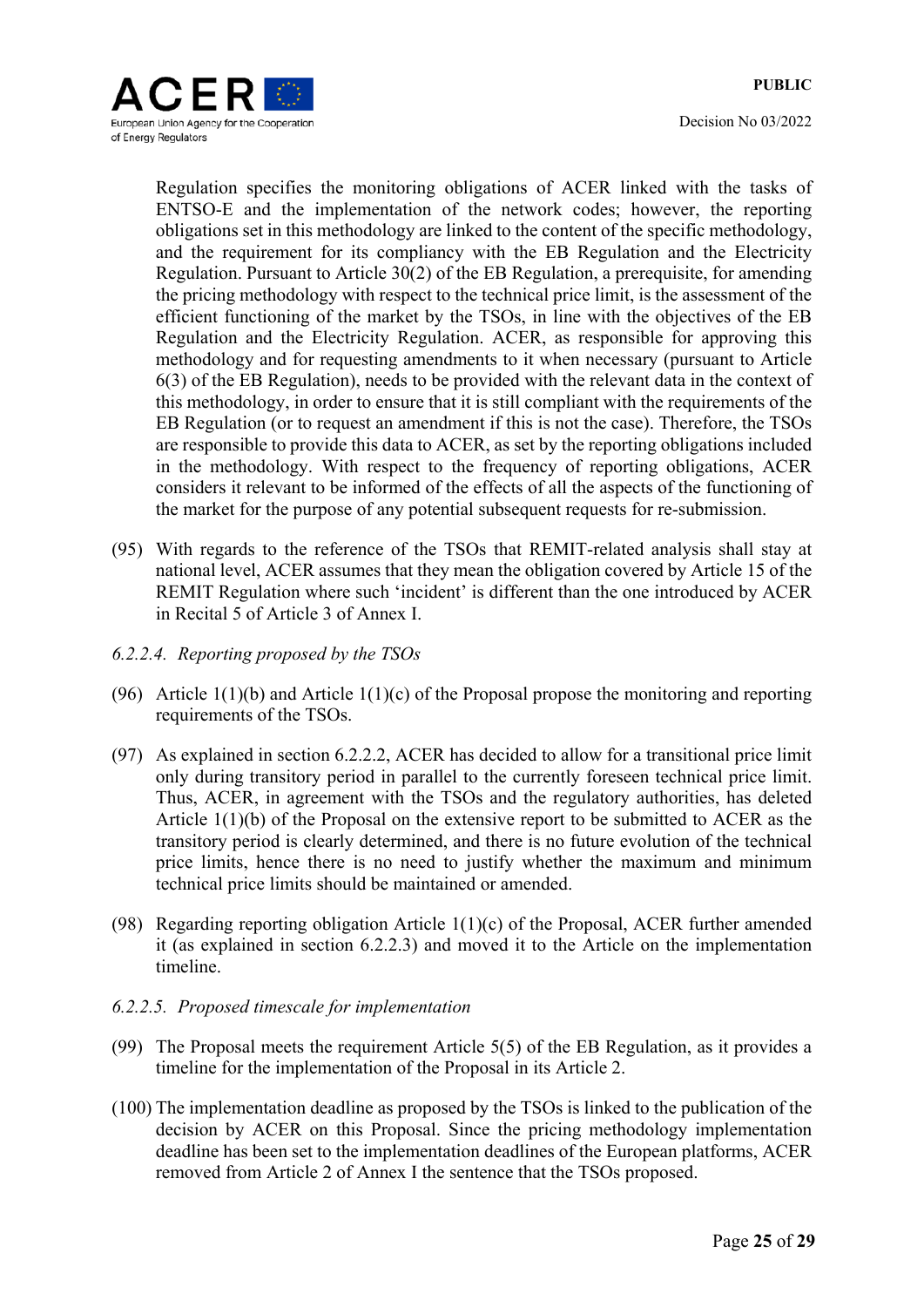Regulation specifies the monitoring obligations of ACER linked with the tasks of ENTSO-E and the implementation of the network codes; however, the reporting obligations set in this methodology are linked to the content of the specific methodology, and the requirement for its compliancy with the EB Regulation and the Electricity Regulation. Pursuant to Article 30(2) of the EB Regulation, a prerequisite, for amending the pricing methodology with respect to the technical price limit, is the assessment of the efficient functioning of the market by the TSOs, in line with the objectives of the EB Regulation and the Electricity Regulation. ACER, as responsible for approving this methodology and for requesting amendments to it when necessary (pursuant to Article 6(3) of the EB Regulation), needs to be provided with the relevant data in the context of this methodology, in order to ensure that it is still compliant with the requirements of the EB Regulation (or to request an amendment if this is not the case). Therefore, the TSOs are responsible to provide this data to ACER, as set by the reporting obligations included in the methodology. With respect to the frequency of reporting obligations, ACER considers it relevant to be informed of the effects of all the aspects of the functioning of the market for the purpose of any potential subsequent requests for re-submission.

- (95) With regards to the reference of the TSOs that REMIT-related analysis shall stay at national level, ACER assumes that they mean the obligation covered by Article 15 of the REMIT Regulation where such 'incident' is different than the one introduced by ACER in Recital 5 of Article 3 of Annex I.
- *6.2.2.4. Reporting proposed by the TSOs*
- (96) Article  $1(1)(b)$  and Article  $1(1)(c)$  of the Proposal propose the monitoring and reporting requirements of the TSOs.
- (97) As explained in section 6.2.2.2, ACER has decided to allow for a transitional price limit only during transitory period in parallel to the currently foreseen technical price limit. Thus, ACER, in agreement with the TSOs and the regulatory authorities, has deleted Article 1(1)(b) of the Proposal on the extensive report to be submitted to ACER as the transitory period is clearly determined, and there is no future evolution of the technical price limits, hence there is no need to justify whether the maximum and minimum technical price limits should be maintained or amended.
- (98) Regarding reporting obligation Article 1(1)(c) of the Proposal, ACER further amended it (as explained in section 6.2.2.3) and moved it to the Article on the implementation timeline.
- *6.2.2.5. Proposed timescale for implementation*
- (99) The Proposal meets the requirement Article 5(5) of the EB Regulation, as it provides a timeline for the implementation of the Proposal in its Article 2.
- (100) The implementation deadline as proposed by the TSOs is linked to the publication of the decision by ACER on this Proposal. Since the pricing methodology implementation deadline has been set to the implementation deadlines of the European platforms, ACER removed from Article 2 of Annex I the sentence that the TSOs proposed.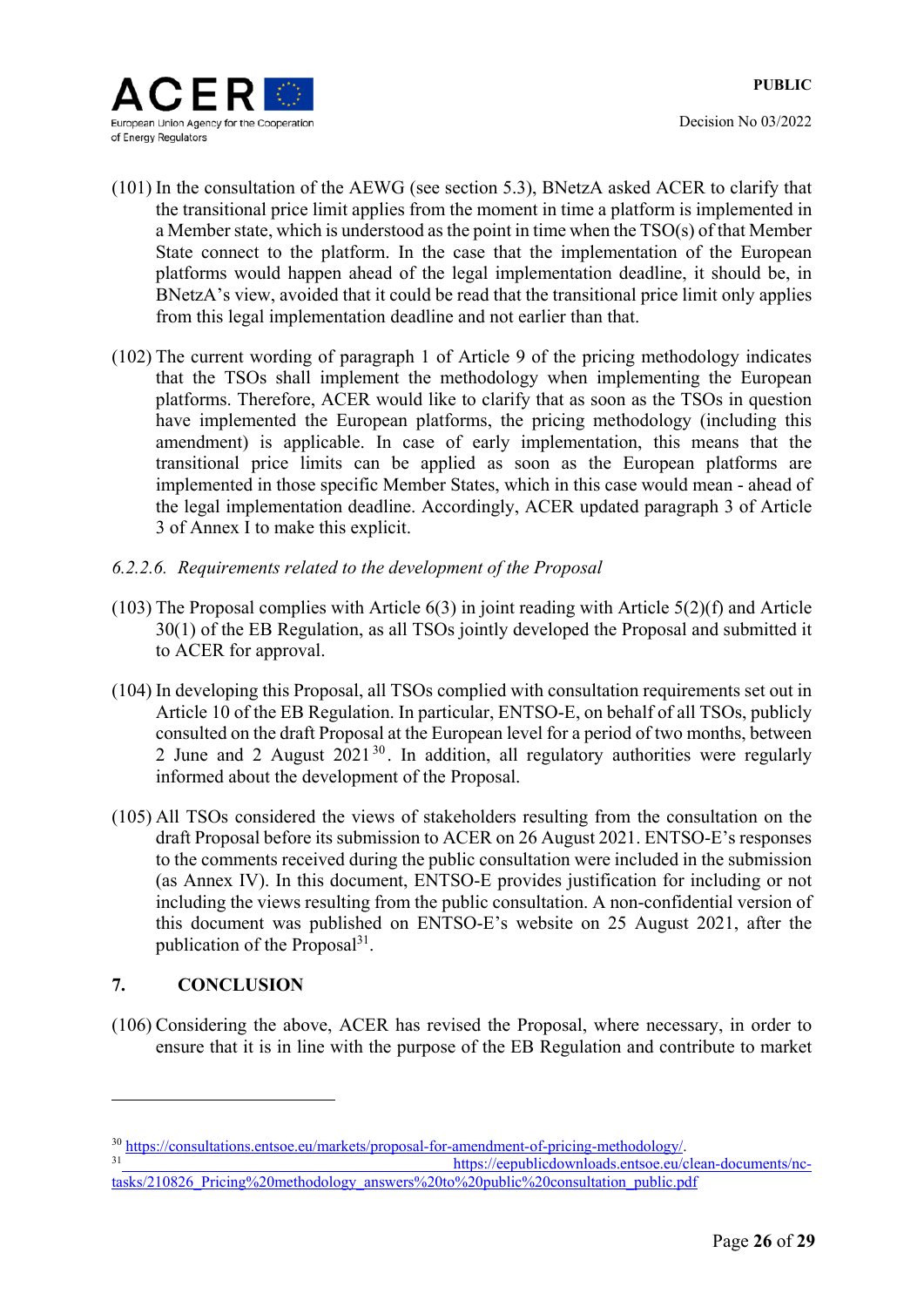

- (101) In the consultation of the AEWG (see section 5.3), BNetzA asked ACER to clarify that the transitional price limit applies from the moment in time a platform is implemented in a Member state, which is understood as the point in time when the TSO(s) of that Member State connect to the platform. In the case that the implementation of the European platforms would happen ahead of the legal implementation deadline, it should be, in BNetzA's view, avoided that it could be read that the transitional price limit only applies from this legal implementation deadline and not earlier than that.
- (102) The current wording of paragraph 1 of Article 9 of the pricing methodology indicates that the TSOs shall implement the methodology when implementing the European platforms. Therefore, ACER would like to clarify that as soon as the TSOs in question have implemented the European platforms, the pricing methodology (including this amendment) is applicable. In case of early implementation, this means that the transitional price limits can be applied as soon as the European platforms are implemented in those specific Member States, which in this case would mean - ahead of the legal implementation deadline. Accordingly, ACER updated paragraph 3 of Article 3 of Annex I to make this explicit.
- *6.2.2.6. Requirements related to the development of the Proposal*
- (103) The Proposal complies with Article 6(3) in joint reading with Article 5(2)(f) and Article 30(1) of the EB Regulation, as all TSOs jointly developed the Proposal and submitted it to ACER for approval.
- (104) In developing this Proposal, all TSOs complied with consultation requirements set out in Article 10 of the EB Regulation. In particular, ENTSO-E, on behalf of all TSOs, publicly consulted on the draft Proposal at the European level for a period of two months, between 2 June and 2 August  $2021^{30}$ . In addition, all regulatory authorities were regularly informed about the development of the Proposal.
- (105) All TSOs considered the views of stakeholders resulting from the consultation on the draft Proposal before its submission to ACER on 26 August 2021. ENTSO-E's responses to the comments received during the public consultation were included in the submission (as Annex IV). In this document, ENTSO-E provides justification for including or not including the views resulting from the public consultation. A non-confidential version of this document was published on ENTSO-E's website on 25 August 2021, after the publication of the Proposal $31$ .

### **7. CONCLUSION**

1

(106) Considering the above, ACER has revised the Proposal, where necessary, in order to ensure that it is in line with the purpose of the EB Regulation and contribute to market

<sup>&</sup>lt;sup>30</sup> https://consultations.entsoe.eu/markets/proposal-for-amendment-of-pricing-methodology/.<br>https://eepublicdownloads.entsoe.eu/clean-documents/nc-

tasks/210826\_Pricing%20methodology\_answers%20to%20public%20consultation\_public.pdf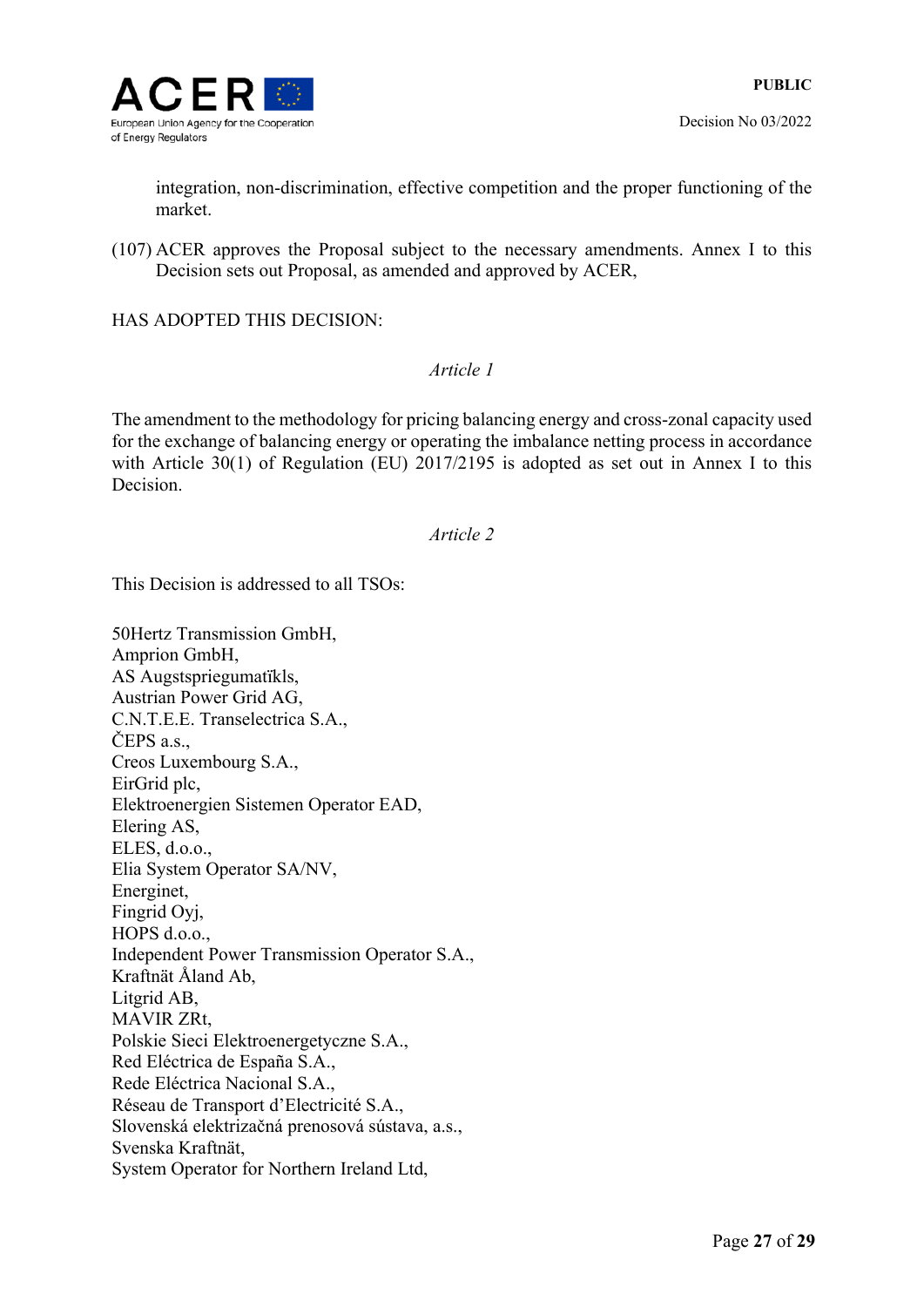

integration, non-discrimination, effective competition and the proper functioning of the market.

(107) ACER approves the Proposal subject to the necessary amendments. Annex I to this Decision sets out Proposal, as amended and approved by ACER,

HAS ADOPTED THIS DECISION:

### *Article 1*

The amendment to the methodology for pricing balancing energy and cross-zonal capacity used for the exchange of balancing energy or operating the imbalance netting process in accordance with Article 30(1) of Regulation (EU) 2017/2195 is adopted as set out in Annex I to this Decision.

### *Article 2*

This Decision is addressed to all TSOs:

50Hertz Transmission GmbH, Amprion GmbH, AS Augstspriegumatïkls, Austrian Power Grid AG, C.N.T.E.E. Transelectrica S.A., ČEPS a.s., Creos Luxembourg S.A., EirGrid plc, Elektroenergien Sistemen Operator EAD, Elering AS, ELES, d.o.o., Elia System Operator SA/NV, Energinet, Fingrid Oyj, HOPS d.o.o., Independent Power Transmission Operator S.A., Kraftnät Åland Ab, Litgrid AB, MAVIR ZRt, Polskie Sieci Elektroenergetyczne S.A., Red Eléctrica de España S.A., Rede Eléctrica Nacional S.A., Réseau de Transport d'Electricité S.A., Slovenská elektrizačná prenosová sústava, a.s., Svenska Kraftnät, System Operator for Northern Ireland Ltd,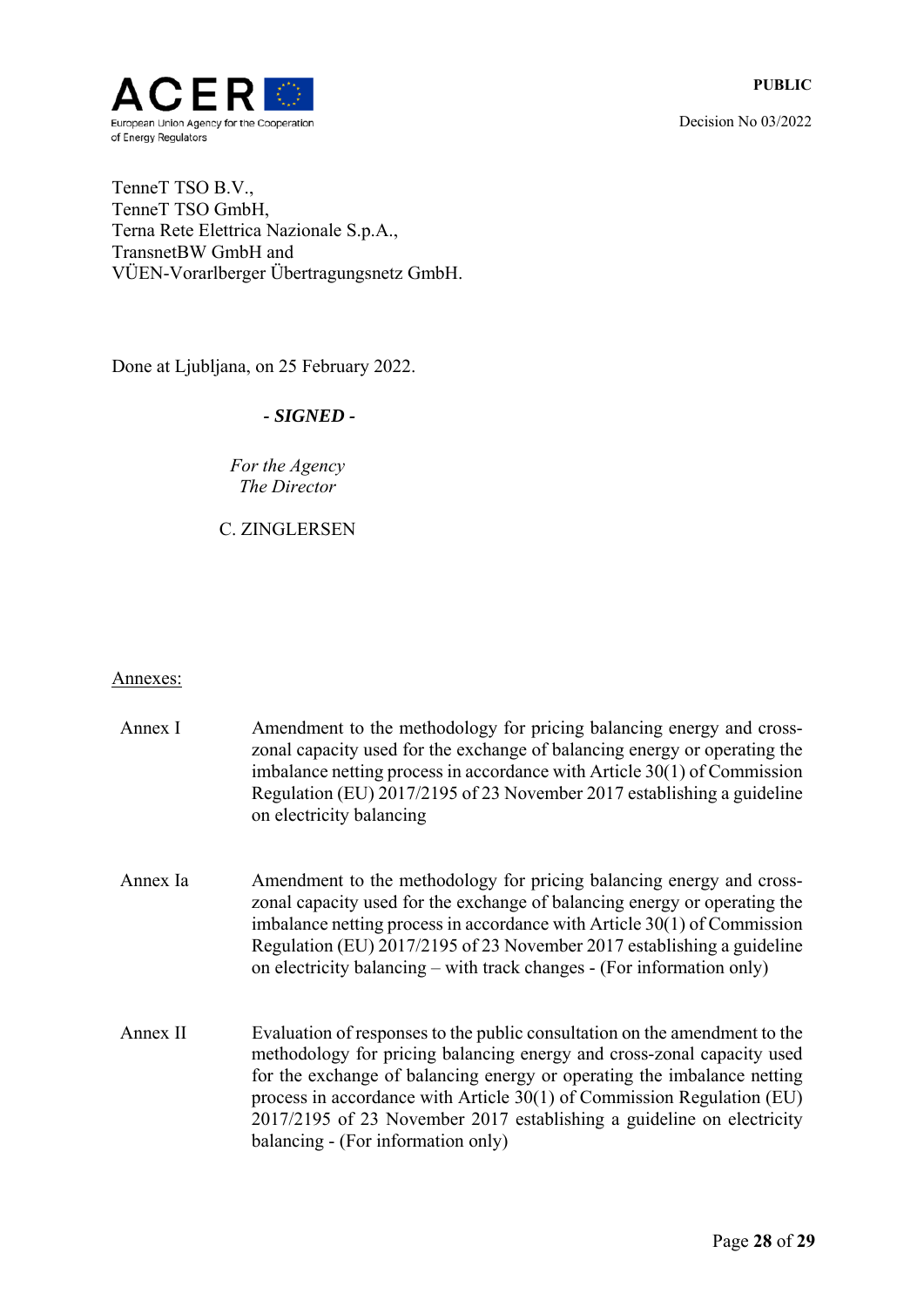

TenneT TSO B.V., TenneT TSO GmbH, Terna Rete Elettrica Nazionale S.p.A., TransnetBW GmbH and VÜEN-Vorarlberger Übertragungsnetz GmbH.

Done at Ljubljana, on 25 February 2022.

### *- SIGNED -*

*Fоr the Agency The Director* 

C. ZINGLERSEN

### Annexes:

| Annex I  | Amendment to the methodology for pricing balancing energy and cross-<br>zonal capacity used for the exchange of balancing energy or operating the<br>imbalance netting process in accordance with Article $30(1)$ of Commission<br>Regulation (EU) 2017/2195 of 23 November 2017 establishing a guideline<br>on electricity balancing                                                                                      |
|----------|----------------------------------------------------------------------------------------------------------------------------------------------------------------------------------------------------------------------------------------------------------------------------------------------------------------------------------------------------------------------------------------------------------------------------|
| Annex Ia | Amendment to the methodology for pricing balancing energy and cross-<br>zonal capacity used for the exchange of balancing energy or operating the<br>imbalance netting process in accordance with Article $30(1)$ of Commission<br>Regulation (EU) 2017/2195 of 23 November 2017 establishing a guideline<br>on electricity balancing – with track changes - (For information only)                                        |
| Annex II | Evaluation of responses to the public consultation on the amendment to the<br>methodology for pricing balancing energy and cross-zonal capacity used<br>for the exchange of balancing energy or operating the imbalance netting<br>process in accordance with Article $30(1)$ of Commission Regulation (EU)<br>2017/2195 of 23 November 2017 establishing a guideline on electricity<br>balancing - (For information only) |